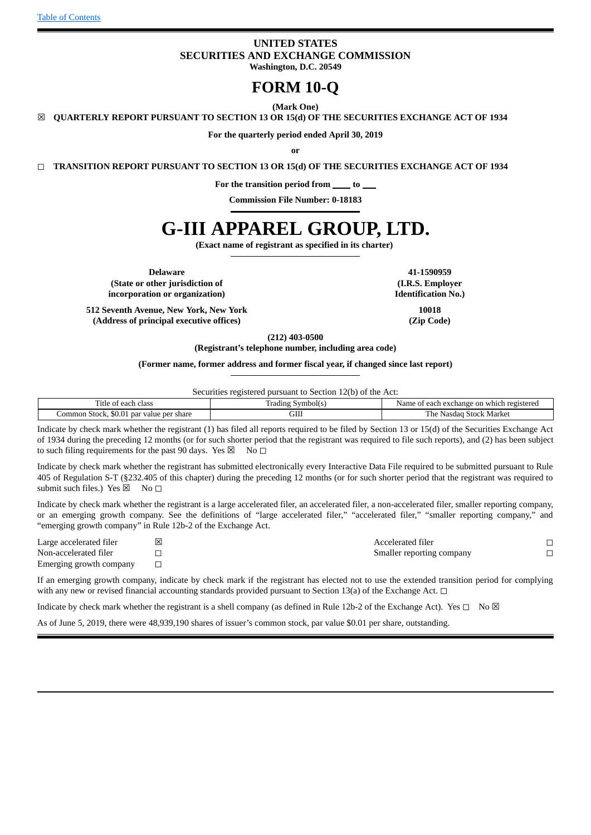# **UNITED STATES SECURITIES AND EXCHANGE COMMISSION Washington, D.C. 20549**

# **FORM 10-Q**

**(Mark One)**

☒ **QUARTERLY REPORT PURSUANT TO SECTION 13 OR 15(d) OF THE SECURITIES EXCHANGE ACT OF 1934**

**For the quarterly period ended April 30, 2019**

**or**

◻ **TRANSITION REPORT PURSUANT TO SECTION 13 OR 15(d) OF THE SECURITIES EXCHANGE ACT OF 1934**

**For the transition period from to**

**Commission File Number: 0-18183**

# **G-III APPAREL GROUP, LTD.**

**(Exact name of registrant as specified in its charter)**

**Delaware 41-1590959 (State or other jurisdiction of (I.R.S. Employer incorporation or organization) Identification No.)**

**512 Seventh Avenue, New York, New York 10018 (Address of principal executive offices) (Zip Code)**

**(212) 403-0500**

**(Registrant's telephone number, including area code)**

#### **(Former name, former address and former fiscal year, if changed since last report)**

Securities registered pursuant to Section 12(b) of the Act:

| Title of<br>class<br>` each                              | Symbol(s)<br>radıng r | $\sim$<br>registerea r<br>exchange<br>Name<br>each<br>` whici<br>UIL<br>,,,, |
|----------------------------------------------------------|-----------------------|------------------------------------------------------------------------------|
| \$0.01<br>Common '<br>oer share !<br>Stock.<br>par value | $\Gamma$ TT)<br>JIII  | ורד<br>. Market<br>r ne.<br><b>Stock</b><br>Nasdad                           |
|                                                          |                       |                                                                              |

Indicate by check mark whether the registrant (1) has filed all reports required to be filed by Section 13 or 15(d) of the Securities Exchange Act of 1934 during the preceding 12 months (or for such shorter period that the registrant was required to file such reports), and (2) has been subject to such filing requirements for the past 90 days. Yes  $\boxtimes$  No  $\Box$ 

Indicate by check mark whether the registrant has submitted electronically every Interactive Data File required to be submitted pursuant to Rule 405 of Regulation S-T (§232.405 of this chapter) during the preceding 12 months (or for such shorter period that the registrant was required to submit such files.) Yes  $\boxtimes$  No  $\Box$ 

Indicate by check mark whether the registrant is a large accelerated filer, an accelerated filer, a non-accelerated filer, smaller reporting company, or an emerging growth company. See the definitions of "large accelerated filer," "accelerated filer," "smaller reporting company," and "emerging growth company" in Rule 12b-2 of the Exchange Act.

| Large accelerated filer | Accelerated filer         |  |
|-------------------------|---------------------------|--|
| Non-accelerated filer   | Smaller reporting company |  |
| Emerging growth company |                           |  |

If an emerging growth company, indicate by check mark if the registrant has elected not to use the extended transition period for complying with any new or revised financial accounting standards provided pursuant to Section 13(a) of the Exchange Act. □

Indicate by check mark whether the registrant is a shell company (as defined in Rule 12b-2 of the Exchange Act). Yes  $\Box$  No  $\boxtimes$ 

As of June 5, 2019, there were 48,939,190 shares of issuer's common stock, par value \$0.01 per share, outstanding.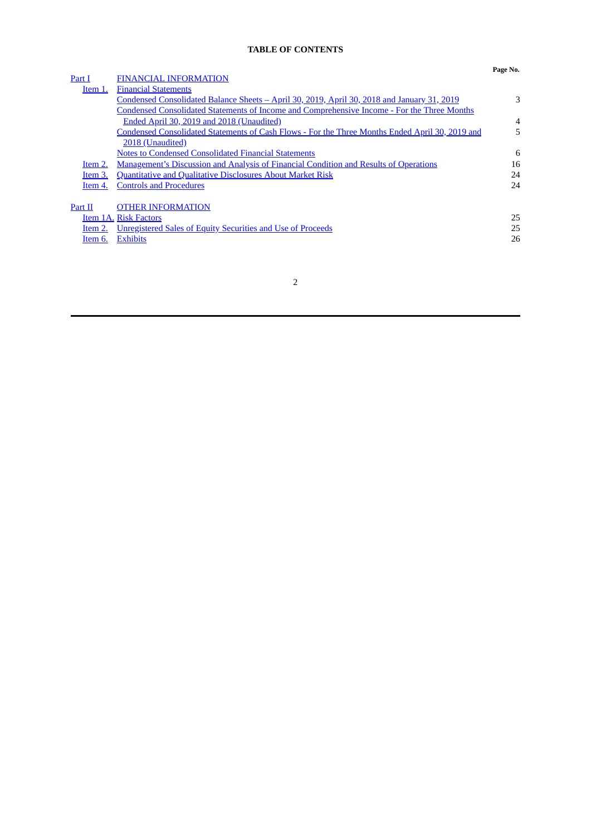### <span id="page-1-0"></span>**Page No.**

| Part I  | <b>FINANCIAL INFORMATION</b>                                                                    | 1.01111        |
|---------|-------------------------------------------------------------------------------------------------|----------------|
| Item 1. | <b>Financial Statements</b>                                                                     |                |
|         | Condensed Consolidated Balance Sheets - April 30, 2019, April 30, 2018 and January 31, 2019     | 3              |
|         | Condensed Consolidated Statements of Income and Comprehensive Income - For the Three Months     |                |
|         | Ended April 30, 2019 and 2018 (Unaudited)                                                       | $\overline{4}$ |
|         | Condensed Consolidated Statements of Cash Flows - For the Three Months Ended April 30, 2019 and | 5              |
|         | 2018 (Unaudited)                                                                                |                |
|         | <b>Notes to Condensed Consolidated Financial Statements</b>                                     | 6              |
| Item 2. | Management's Discussion and Analysis of Financial Condition and Results of Operations           | 16             |
| Item 3. | <b>Quantitative and Qualitative Disclosures About Market Risk</b>                               | 24             |
| Item 4. | <b>Controls and Procedures</b>                                                                  | 24             |
| Part II | <b>OTHER INFORMATION</b>                                                                        |                |
|         | Item 1A. Risk Factors                                                                           | 25             |
| Item 2. | Unregistered Sales of Equity Securities and Use of Proceeds                                     | 25             |
| Item 6. | <b>Exhibits</b>                                                                                 | 26             |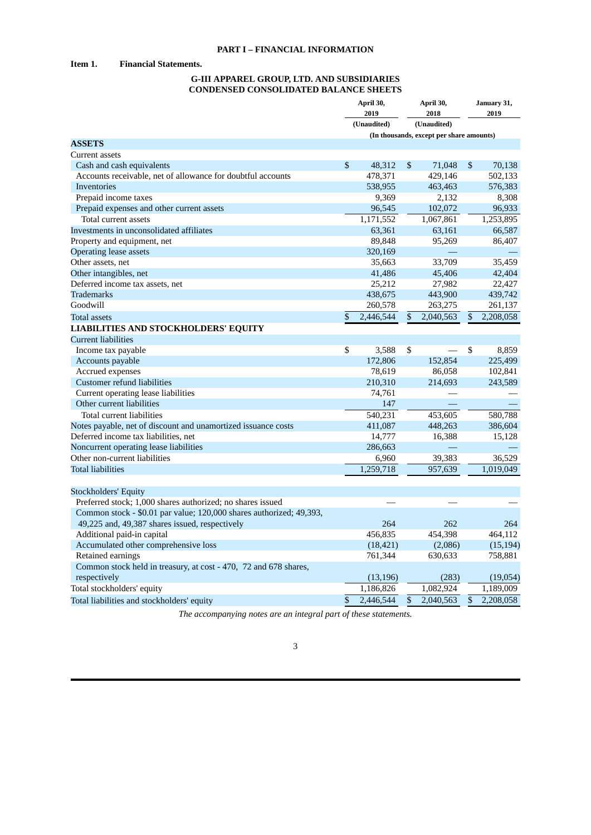# <span id="page-2-2"></span><span id="page-2-0"></span>**PART I – FINANCIAL INFORMATION**

# **Item 1. Financial Statements.**

# <span id="page-2-1"></span>**G-III APPAREL GROUP, LTD. AND SUBSIDIARIES CONDENSED CONSOLIDATED BALANCE SHEETS**

|                                                                     | April 30,    |             |                 | April 30,                                | January 31, |           |  |
|---------------------------------------------------------------------|--------------|-------------|-----------------|------------------------------------------|-------------|-----------|--|
|                                                                     |              | 2019        |                 | 2018                                     |             | 2019      |  |
|                                                                     |              | (Unaudited) |                 | (Unaudited)                              |             |           |  |
|                                                                     |              |             |                 | (In thousands, except per share amounts) |             |           |  |
| <b>ASSETS</b>                                                       |              |             |                 |                                          |             |           |  |
| Current assets                                                      |              |             |                 |                                          |             |           |  |
| Cash and cash equivalents                                           | \$           | 48,312      | \$              | 71,048                                   | \$          | 70,138    |  |
| Accounts receivable, net of allowance for doubtful accounts         |              | 478,371     |                 | 429,146                                  |             | 502,133   |  |
| Inventories                                                         |              | 538,955     |                 | 463,463                                  |             | 576,383   |  |
| Prepaid income taxes                                                |              | 9,369       |                 | 2,132                                    |             | 8,308     |  |
| Prepaid expenses and other current assets                           |              | 96,545      |                 | 102,072                                  |             | 96,933    |  |
| Total current assets                                                |              | 1,171,552   |                 | 1,067,861                                |             | 1,253,895 |  |
| Investments in unconsolidated affiliates                            |              | 63,361      |                 | 63,161                                   |             | 66,587    |  |
| Property and equipment, net                                         |              | 89,848      |                 | 95,269                                   |             | 86,407    |  |
| <b>Operating lease assets</b>                                       |              | 320,169     |                 |                                          |             |           |  |
| Other assets, net                                                   |              | 35,663      |                 | 33,709                                   |             | 35,459    |  |
| Other intangibles, net                                              |              | 41,486      |                 | 45,406                                   |             | 42,404    |  |
| Deferred income tax assets, net                                     |              | 25,212      |                 | 27,982                                   |             | 22,427    |  |
| <b>Trademarks</b>                                                   |              | 438,675     |                 | 443,900                                  |             | 439,742   |  |
| Goodwill                                                            |              | 260,578     |                 | 263,275                                  |             | 261,137   |  |
| <b>Total assets</b>                                                 | \$           | 2,446,544   | $\overline{\$}$ | 2,040,563                                | \$          | 2,208,058 |  |
| <b>LIABILITIES AND STOCKHOLDERS' EQUITY</b>                         |              |             |                 |                                          |             |           |  |
| <b>Current liabilities</b>                                          |              |             |                 |                                          |             |           |  |
| Income tax payable                                                  | \$           | 3,588       | \$              |                                          | \$          | 8,859     |  |
| Accounts payable                                                    |              | 172,806     |                 | 152,854                                  |             | 225,499   |  |
| Accrued expenses                                                    |              | 78,619      |                 | 86,058                                   |             | 102,841   |  |
| Customer refund liabilities                                         |              | 210,310     |                 | 214,693                                  |             | 243,589   |  |
| Current operating lease liabilities                                 |              | 74,761      |                 |                                          |             |           |  |
| Other current liabilities                                           |              | 147         |                 |                                          |             |           |  |
| Total current liabilities                                           |              | 540,231     |                 | 453,605                                  |             | 580,788   |  |
| Notes payable, net of discount and unamortized issuance costs       |              | 411,087     |                 | 448,263                                  |             | 386,604   |  |
| Deferred income tax liabilities, net                                |              | 14,777      |                 | 16,388                                   |             | 15,128    |  |
| Noncurrent operating lease liabilities                              |              | 286,663     |                 |                                          |             |           |  |
| Other non-current liabilities                                       |              | 6,960       |                 | 39,383                                   |             | 36,529    |  |
| <b>Total liabilities</b>                                            |              | 1,259,718   |                 | 957.639                                  |             | 1,019,049 |  |
|                                                                     |              |             |                 |                                          |             |           |  |
| Stockholders' Equity                                                |              |             |                 |                                          |             |           |  |
| Preferred stock; 1,000 shares authorized; no shares issued          |              |             |                 |                                          |             |           |  |
| Common stock - \$0.01 par value; 120,000 shares authorized; 49,393, |              |             |                 |                                          |             |           |  |
| 49,225 and, 49,387 shares issued, respectively                      |              | 264         |                 | 262                                      |             | 264       |  |
| Additional paid-in capital                                          |              | 456,835     |                 | 454,398                                  |             | 464,112   |  |
| Accumulated other comprehensive loss                                |              | (18, 421)   |                 | (2,086)                                  |             | (15, 194) |  |
| Retained earnings                                                   |              | 761,344     |                 | 630,633                                  |             | 758,881   |  |
| Common stock held in treasury, at cost - 470, 72 and 678 shares,    |              |             |                 |                                          |             |           |  |
| respectively                                                        |              | (13, 196)   |                 | (283)                                    |             | (19,054)  |  |
| Total stockholders' equity                                          |              | 1,186,826   |                 | 1,082,924                                |             | 1,189,009 |  |
| Total liabilities and stockholders' equity                          | $\mathbb{S}$ | 2,446,544   | \$              | 2,040,563                                | \$          | 2,208,058 |  |

*The accompanying notes are an integral part of these statements.*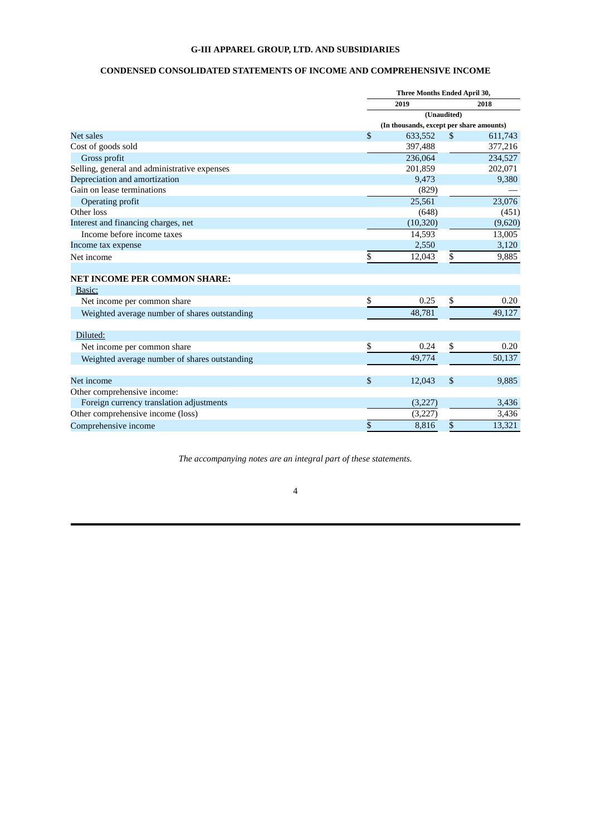# <span id="page-3-0"></span>**G-III APPAREL GROUP, LTD. AND SUBSIDIARIES**

# **CONDENSED CONSOLIDATED STATEMENTS OF INCOME AND COMPREHENSIVE INCOME**

|                                               | Three Months Ended April 30,             |                |         |  |
|-----------------------------------------------|------------------------------------------|----------------|---------|--|
|                                               | 2019                                     |                | 2018    |  |
|                                               | (Unaudited)                              |                |         |  |
|                                               | (In thousands, except per share amounts) |                |         |  |
| <b>Net sales</b>                              | \$<br>633,552                            | $\mathfrak{S}$ | 611,743 |  |
| Cost of goods sold                            | 397,488                                  |                | 377,216 |  |
| Gross profit                                  | 236,064                                  |                | 234,527 |  |
| Selling, general and administrative expenses  | 201,859                                  |                | 202,071 |  |
| Depreciation and amortization                 | 9,473                                    |                | 9,380   |  |
| Gain on lease terminations                    | (829)                                    |                |         |  |
| Operating profit                              | 25,561                                   |                | 23,076  |  |
| Other loss                                    | (648)                                    |                | (451)   |  |
| Interest and financing charges, net           | (10, 320)                                |                | (9,620) |  |
| Income before income taxes                    | 14,593                                   |                | 13,005  |  |
| Income tax expense                            | 2,550                                    |                | 3,120   |  |
| Net income                                    | \$<br>12,043                             | \$             | 9,885   |  |
|                                               |                                          |                |         |  |
| <b>NET INCOME PER COMMON SHARE:</b>           |                                          |                |         |  |
| Basic:                                        |                                          |                |         |  |
| Net income per common share                   | \$<br>0.25                               | \$             | 0.20    |  |
| Weighted average number of shares outstanding | 48,781                                   |                | 49,127  |  |
| Diluted:                                      |                                          |                |         |  |
| Net income per common share                   | \$<br>0.24                               | \$             | 0.20    |  |
| Weighted average number of shares outstanding | 49,774                                   |                | 50,137  |  |
|                                               |                                          |                |         |  |
| Net income                                    | \$<br>12,043                             | $\mathfrak{S}$ | 9,885   |  |
| Other comprehensive income:                   |                                          |                |         |  |
| Foreign currency translation adjustments      | (3,227)                                  |                | 3,436   |  |
| Other comprehensive income (loss)             | (3,227)                                  |                | 3,436   |  |
| Comprehensive income                          | \$<br>8,816                              | \$             | 13,321  |  |

*The accompanying notes are an integral part of these statements.*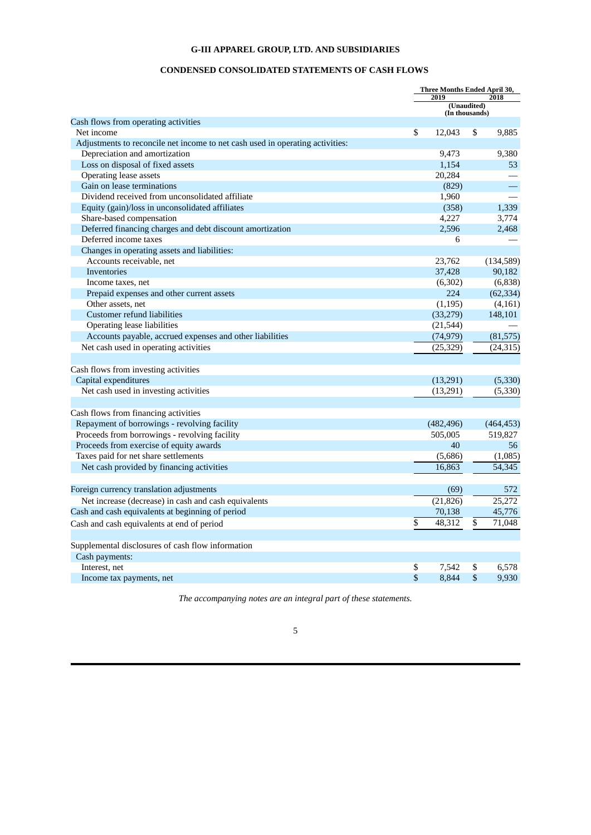# <span id="page-4-0"></span>**G-III APPAREL GROUP, LTD. AND SUBSIDIARIES**

# **CONDENSED CONSOLIDATED STATEMENTS OF CASH FLOWS**

|                                                                               | <b>Three Months Ended April 30,</b> |                |    |               |  |
|-------------------------------------------------------------------------------|-------------------------------------|----------------|----|---------------|--|
|                                                                               | 2019<br>2018<br>(Unaudited)         |                |    |               |  |
|                                                                               |                                     | (In thousands) |    |               |  |
| Cash flows from operating activities                                          |                                     |                |    |               |  |
| Net income                                                                    | \$                                  | 12,043         | \$ | 9,885         |  |
| Adjustments to reconcile net income to net cash used in operating activities: |                                     |                |    |               |  |
| Depreciation and amortization                                                 |                                     | 9,473          |    | 9,380         |  |
| Loss on disposal of fixed assets                                              |                                     | 1,154          |    | 53            |  |
| <b>Operating lease assets</b>                                                 |                                     | 20,284         |    |               |  |
| Gain on lease terminations                                                    |                                     | (829)          |    |               |  |
| Dividend received from unconsolidated affiliate                               |                                     | 1,960          |    |               |  |
| Equity (gain)/loss in unconsolidated affiliates                               |                                     | (358)          |    | 1,339         |  |
| Share-based compensation                                                      |                                     | 4,227          |    | 3,774         |  |
| Deferred financing charges and debt discount amortization                     |                                     | 2,596          |    | 2,468         |  |
| Deferred income taxes                                                         |                                     | 6              |    |               |  |
| Changes in operating assets and liabilities:                                  |                                     |                |    |               |  |
| Accounts receivable, net                                                      |                                     | 23,762         |    | (134, 589)    |  |
| Inventories                                                                   |                                     | 37,428         |    | 90,182        |  |
| Income taxes, net                                                             |                                     | (6, 302)       |    | (6,838)       |  |
| Prepaid expenses and other current assets                                     |                                     | 224            |    | (62, 334)     |  |
| Other assets, net                                                             |                                     | (1, 195)       |    | (4, 161)      |  |
| Customer refund liabilities                                                   |                                     | (33, 279)      |    | 148,101       |  |
| Operating lease liabilities                                                   |                                     | (21, 544)      |    |               |  |
| Accounts payable, accrued expenses and other liabilities                      |                                     | (74, 979)      |    | (81,575)      |  |
| Net cash used in operating activities                                         |                                     | (25, 329)      |    | (24, 315)     |  |
| Cash flows from investing activities                                          |                                     |                |    |               |  |
| Capital expenditures                                                          |                                     | (13,291)       |    | (5, 330)      |  |
| Net cash used in investing activities                                         |                                     | (13,291)       |    | (5, 330)      |  |
| Cash flows from financing activities                                          |                                     |                |    |               |  |
| Repayment of borrowings - revolving facility                                  |                                     | (482, 496)     |    | (464, 453)    |  |
| Proceeds from borrowings - revolving facility                                 |                                     | 505,005        |    | 519,827       |  |
| Proceeds from exercise of equity awards                                       |                                     | 40             |    | 56            |  |
| Taxes paid for net share settlements                                          |                                     | (5,686)        |    | (1,085)       |  |
| Net cash provided by financing activities                                     |                                     | 16,863         |    | 54,345        |  |
|                                                                               |                                     |                |    |               |  |
| Foreign currency translation adjustments                                      |                                     | (69)           |    | 572<br>25.272 |  |
| Net increase (decrease) in cash and cash equivalents                          |                                     | (21, 826)      |    |               |  |
| Cash and cash equivalents at beginning of period                              |                                     | 70,138         |    | 45,776        |  |
| Cash and cash equivalents at end of period                                    | \$                                  | 48,312         | \$ | 71,048        |  |
| Supplemental disclosures of cash flow information                             |                                     |                |    |               |  |
| Cash payments:                                                                |                                     |                |    |               |  |
| Interest, net                                                                 | \$                                  | 7,542          | \$ | 6,578         |  |
| Income tax payments, net                                                      | \$                                  | 8,844          | \$ | 9,930         |  |

*The accompanying notes are an integral part of these statements.*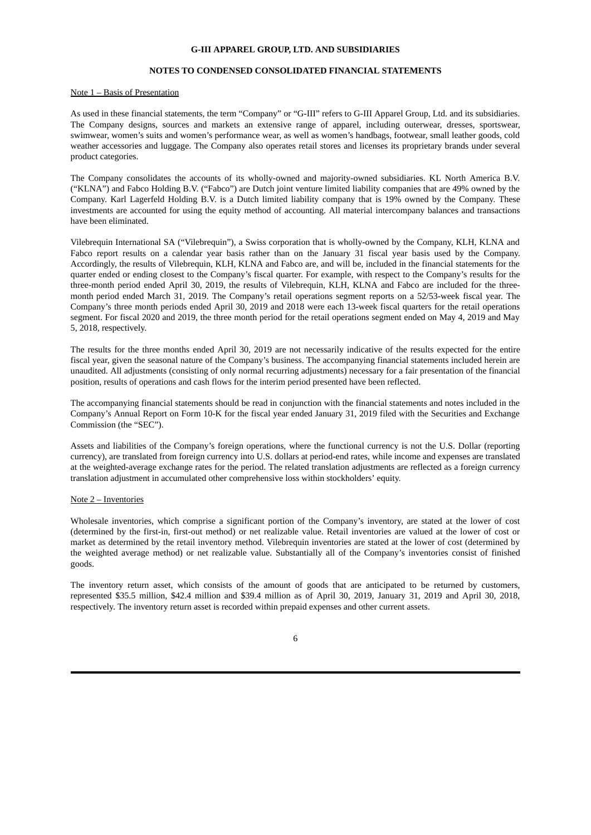#### <span id="page-5-0"></span>**G-III APPAREL GROUP, LTD. AND SUBSIDIARIES**

# **NOTES TO CONDENSED CONSOLIDATED FINANCIAL STATEMENTS**

### Note 1 – Basis of Presentation

As used in these financial statements, the term "Company" or "G-III" refers to G-III Apparel Group, Ltd. and its subsidiaries. The Company designs, sources and markets an extensive range of apparel, including outerwear, dresses, sportswear, swimwear, women's suits and women's performance wear, as well as women's handbags, footwear, small leather goods, cold weather accessories and luggage. The Company also operates retail stores and licenses its proprietary brands under several product categories.

The Company consolidates the accounts of its wholly-owned and majority-owned subsidiaries. KL North America B.V. ("KLNA") and Fabco Holding B.V. ("Fabco") are Dutch joint venture limited liability companies that are 49% owned by the Company. Karl Lagerfeld Holding B.V. is a Dutch limited liability company that is 19% owned by the Company. These investments are accounted for using the equity method of accounting. All material intercompany balances and transactions have been eliminated.

Vilebrequin International SA ("Vilebrequin"), a Swiss corporation that is wholly-owned by the Company, KLH, KLNA and Fabco report results on a calendar year basis rather than on the January 31 fiscal year basis used by the Company. Accordingly, the results of Vilebrequin, KLH, KLNA and Fabco are, and will be, included in the financial statements for the quarter ended or ending closest to the Company's fiscal quarter. For example, with respect to the Company's results for the three-month period ended April 30, 2019, the results of Vilebrequin, KLH, KLNA and Fabco are included for the threemonth period ended March 31, 2019. The Company's retail operations segment reports on a 52/53‑week fiscal year. The Company's three month periods ended April 30, 2019 and 2018 were each 13‑week fiscal quarters for the retail operations segment. For fiscal 2020 and 2019, the three month period for the retail operations segment ended on May 4, 2019 and May 5, 2018, respectively.

The results for the three months ended April 30, 2019 are not necessarily indicative of the results expected for the entire fiscal year, given the seasonal nature of the Company's business. The accompanying financial statements included herein are unaudited. All adjustments (consisting of only normal recurring adjustments) necessary for a fair presentation of the financial position, results of operations and cash flows for the interim period presented have been reflected.

The accompanying financial statements should be read in conjunction with the financial statements and notes included in the Company's Annual Report on Form 10‑K for the fiscal year ended January 31, 2019 filed with the Securities and Exchange Commission (the "SEC").

Assets and liabilities of the Company's foreign operations, where the functional currency is not the U.S. Dollar (reporting currency), are translated from foreign currency into U.S. dollars at period-end rates, while income and expenses are translated at the weighted-average exchange rates for the period. The related translation adjustments are reflected as a foreign currency translation adjustment in accumulated other comprehensive loss within stockholders' equity.

#### Note 2 – Inventories

Wholesale inventories, which comprise a significant portion of the Company's inventory, are stated at the lower of cost (determined by the first-in, first-out method) or net realizable value. Retail inventories are valued at the lower of cost or market as determined by the retail inventory method. Vilebrequin inventories are stated at the lower of cost (determined by the weighted average method) or net realizable value. Substantially all of the Company's inventories consist of finished goods.

The inventory return asset, which consists of the amount of goods that are anticipated to be returned by customers, represented \$35.5 million, \$42.4 million and \$39.4 million as of April 30, 2019, January 31, 2019 and April 30, 2018, respectively. The inventory return asset is recorded within prepaid expenses and other current assets.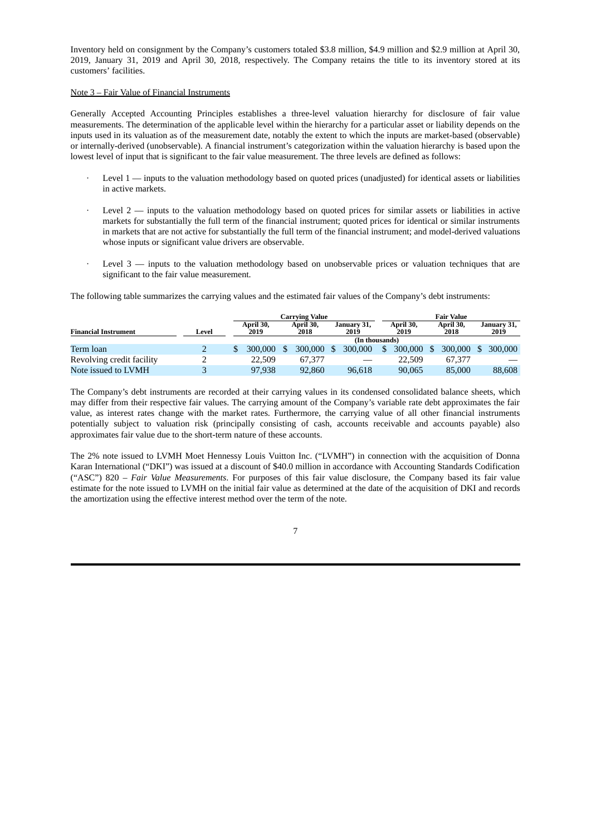Inventory held on consignment by the Company's customers totaled \$3.8 million, \$4.9 million and \$2.9 million at April 30, 2019, January 31, 2019 and April 30, 2018, respectively. The Company retains the title to its inventory stored at its customers' facilities.

# Note 3 – Fair Value of Financial Instruments

Generally Accepted Accounting Principles establishes a three-level valuation hierarchy for disclosure of fair value measurements. The determination of the applicable level within the hierarchy for a particular asset or liability depends on the inputs used in its valuation as of the measurement date, notably the extent to which the inputs are market-based (observable) or internally-derived (unobservable). A financial instrument's categorization within the valuation hierarchy is based upon the lowest level of input that is significant to the fair value measurement. The three levels are defined as follows:

- Level 1 inputs to the valuation methodology based on quoted prices (unadjusted) for identical assets or liabilities in active markets.
- Level  $2$  inputs to the valuation methodology based on quoted prices for similar assets or liabilities in active markets for substantially the full term of the financial instrument; quoted prices for identical or similar instruments in markets that are not active for substantially the full term of the financial instrument; and model-derived valuations whose inputs or significant value drivers are observable.
- Level  $3$  inputs to the valuation methodology based on unobservable prices or valuation techniques that are significant to the fair value measurement.

The following table summarizes the carrying values and the estimated fair values of the Company's debt instruments:

|                             |       | Carrying Value |                   |  | Fair Value        |  |                     |  |                   |  |                   |  |                     |
|-----------------------------|-------|----------------|-------------------|--|-------------------|--|---------------------|--|-------------------|--|-------------------|--|---------------------|
| <b>Financial Instrument</b> | Level |                | April 30,<br>2019 |  | April 30,<br>2018 |  | January 31,<br>2019 |  | April 30,<br>2019 |  | April 30,<br>2018 |  | January 31,<br>2019 |
|                             |       | (In thousands) |                   |  |                   |  |                     |  |                   |  |                   |  |                     |
| Term loan                   |       |                | 300,000           |  | 300,000           |  | 300,000             |  | 300,000           |  | 300,000 \$        |  | 300,000             |
| Revolving credit facility   |       |                | 22,509            |  | 67,377            |  |                     |  | 22,509            |  | 67,377            |  |                     |
| Note issued to LVMH         |       |                | 97.938            |  | 92,860            |  | 96.618              |  | 90,065            |  | 85,000            |  | 88,608              |

The Company's debt instruments are recorded at their carrying values in its condensed consolidated balance sheets, which may differ from their respective fair values. The carrying amount of the Company's variable rate debt approximates the fair value, as interest rates change with the market rates. Furthermore, the carrying value of all other financial instruments potentially subject to valuation risk (principally consisting of cash, accounts receivable and accounts payable) also approximates fair value due to the short-term nature of these accounts.

The 2% note issued to LVMH Moet Hennessy Louis Vuitton Inc. ("LVMH") in connection with the acquisition of Donna Karan International ("DKI") was issued at a discount of \$40.0 million in accordance with Accounting Standards Codification ("ASC") 820 – *Fair Value Measurements*. For purposes of this fair value disclosure, the Company based its fair value estimate for the note issued to LVMH on the initial fair value as determined at the date of the acquisition of DKI and records the amortization using the effective interest method over the term of the note.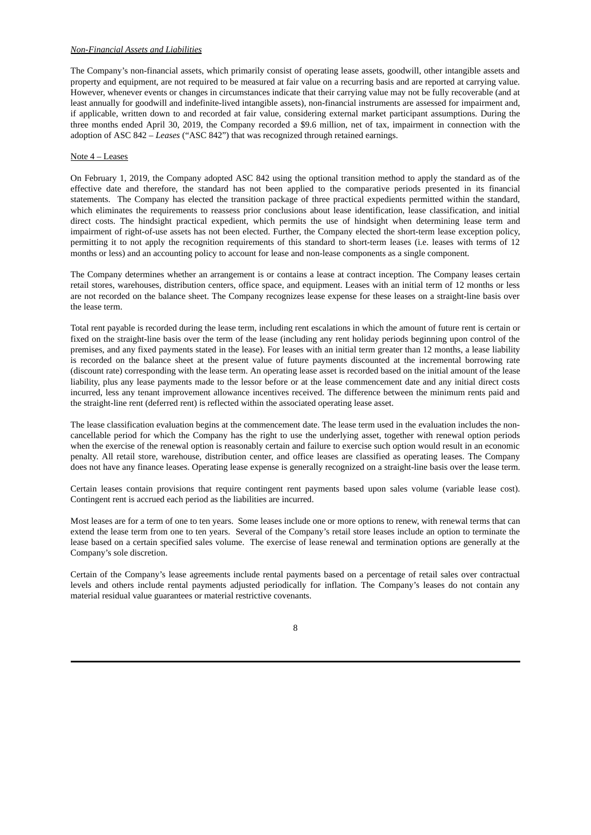#### *Non-Financial Assets and Liabilities*

The Company's non-financial assets, which primarily consist of operating lease assets, goodwill, other intangible assets and property and equipment, are not required to be measured at fair value on a recurring basis and are reported at carrying value. However, whenever events or changes in circumstances indicate that their carrying value may not be fully recoverable (and at least annually for goodwill and indefinite-lived intangible assets), non-financial instruments are assessed for impairment and, if applicable, written down to and recorded at fair value, considering external market participant assumptions. During the three months ended April 30, 2019, the Company recorded a \$9.6 million, net of tax, impairment in connection with the adoption of ASC 842 – *Leases* ("ASC 842") that was recognized through retained earnings.

#### Note 4 – Leases

On February 1, 2019, the Company adopted ASC 842 using the optional transition method to apply the standard as of the effective date and therefore, the standard has not been applied to the comparative periods presented in its financial statements. The Company has elected the transition package of three practical expedients permitted within the standard, which eliminates the requirements to reassess prior conclusions about lease identification, lease classification, and initial direct costs. The hindsight practical expedient, which permits the use of hindsight when determining lease term and impairment of right-of-use assets has not been elected. Further, the Company elected the short-term lease exception policy, permitting it to not apply the recognition requirements of this standard to short-term leases (i.e. leases with terms of 12 months or less) and an accounting policy to account for lease and non-lease components as a single component.

The Company determines whether an arrangement is or contains a lease at contract inception. The Company leases certain retail stores, warehouses, distribution centers, office space, and equipment. Leases with an initial term of 12 months or less are not recorded on the balance sheet. The Company recognizes lease expense for these leases on a straight-line basis over the lease term.

Total rent payable is recorded during the lease term, including rent escalations in which the amount of future rent is certain or fixed on the straight-line basis over the term of the lease (including any rent holiday periods beginning upon control of the premises, and any fixed payments stated in the lease). For leases with an initial term greater than 12 months, a lease liability is recorded on the balance sheet at the present value of future payments discounted at the incremental borrowing rate (discount rate) corresponding with the lease term. An operating lease asset is recorded based on the initial amount of the lease liability, plus any lease payments made to the lessor before or at the lease commencement date and any initial direct costs incurred, less any tenant improvement allowance incentives received. The difference between the minimum rents paid and the straight-line rent (deferred rent) is reflected within the associated operating lease asset.

The lease classification evaluation begins at the commencement date. The lease term used in the evaluation includes the noncancellable period for which the Company has the right to use the underlying asset, together with renewal option periods when the exercise of the renewal option is reasonably certain and failure to exercise such option would result in an economic penalty. All retail store, warehouse, distribution center, and office leases are classified as operating leases. The Company does not have any finance leases. Operating lease expense is generally recognized on a straight-line basis over the lease term.

Certain leases contain provisions that require contingent rent payments based upon sales volume (variable lease cost). Contingent rent is accrued each period as the liabilities are incurred.

Most leases are for a term of one to ten years. Some leases include one or more options to renew, with renewal terms that can extend the lease term from one to ten years. Several of the Company's retail store leases include an option to terminate the lease based on a certain specified sales volume. The exercise of lease renewal and termination options are generally at the Company's sole discretion.

Certain of the Company's lease agreements include rental payments based on a percentage of retail sales over contractual levels and others include rental payments adjusted periodically for inflation. The Company's leases do not contain any material residual value guarantees or material restrictive covenants.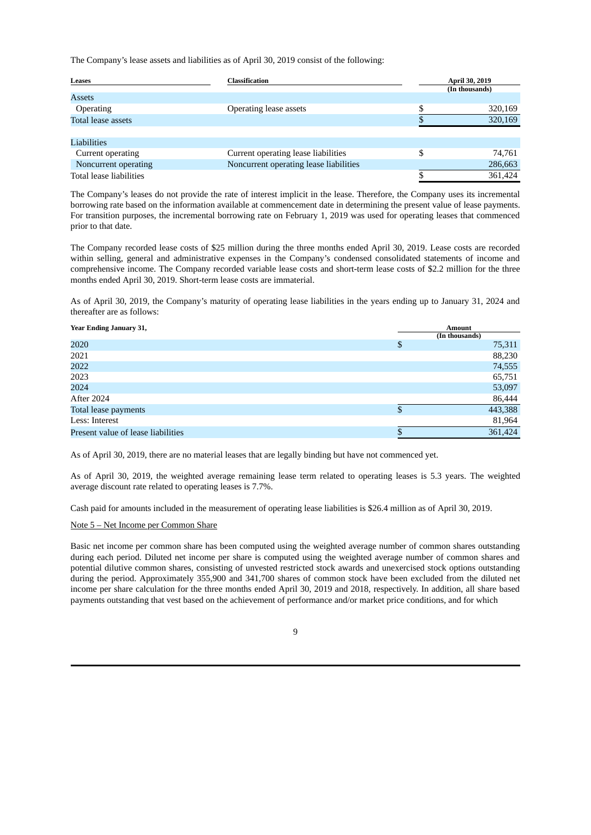The Company's lease assets and liabilities as of April 30, 2019 consist of the following:

| Leases                  | <b>April 30, 2019</b>                  |                |
|-------------------------|----------------------------------------|----------------|
|                         |                                        | (In thousands) |
| Assets                  |                                        |                |
| <b>Operating</b>        | Operating lease assets                 | 320,169        |
| Total lease assets      |                                        | 320,169        |
|                         |                                        |                |
| Liabilities             |                                        |                |
| Current operating       | Current operating lease liabilities    | \$<br>74.761   |
| Noncurrent operating    | Noncurrent operating lease liabilities | 286,663        |
| Total lease liabilities |                                        | \$<br>361.424  |

The Company's leases do not provide the rate of interest implicit in the lease. Therefore, the Company uses its incremental borrowing rate based on the information available at commencement date in determining the present value of lease payments. For transition purposes, the incremental borrowing rate on February 1, 2019 was used for operating leases that commenced prior to that date.

The Company recorded lease costs of \$25 million during the three months ended April 30, 2019. Lease costs are recorded within selling, general and administrative expenses in the Company's condensed consolidated statements of income and comprehensive income. The Company recorded variable lease costs and short-term lease costs of \$2.2 million for the three months ended April 30, 2019. Short-term lease costs are immaterial.

As of April 30, 2019, the Company's maturity of operating lease liabilities in the years ending up to January 31, 2024 and thereafter are as follows:

| Year Ending January 31,            | <b>Amount</b> |                |  |  |  |  |  |
|------------------------------------|---------------|----------------|--|--|--|--|--|
|                                    |               | (In thousands) |  |  |  |  |  |
| 2020                               | S             | 75,311         |  |  |  |  |  |
| 2021                               |               | 88,230         |  |  |  |  |  |
| 2022                               |               | 74,555         |  |  |  |  |  |
| 2023                               |               | 65,751         |  |  |  |  |  |
| 2024                               |               | 53,097         |  |  |  |  |  |
| After 2024                         |               | 86,444         |  |  |  |  |  |
| Total lease payments               |               | 443,388        |  |  |  |  |  |
| Less: Interest                     |               | 81,964         |  |  |  |  |  |
| Present value of lease liabilities | S             | 361,424        |  |  |  |  |  |

As of April 30, 2019, there are no material leases that are legally binding but have not commenced yet.

As of April 30, 2019, the weighted average remaining lease term related to operating leases is 5.3 years. The weighted average discount rate related to operating leases is 7.7%.

Cash paid for amounts included in the measurement of operating lease liabilities is \$26.4 million as of April 30, 2019.

#### Note 5 – Net Income per Common Share

Basic net income per common share has been computed using the weighted average number of common shares outstanding during each period. Diluted net income per share is computed using the weighted average number of common shares and potential dilutive common shares, consisting of unvested restricted stock awards and unexercised stock options outstanding during the period. Approximately 355,900 and 341,700 shares of common stock have been excluded from the diluted net income per share calculation for the three months ended April 30, 2019 and 2018, respectively. In addition, all share based payments outstanding that vest based on the achievement of performance and/or market price conditions, and for which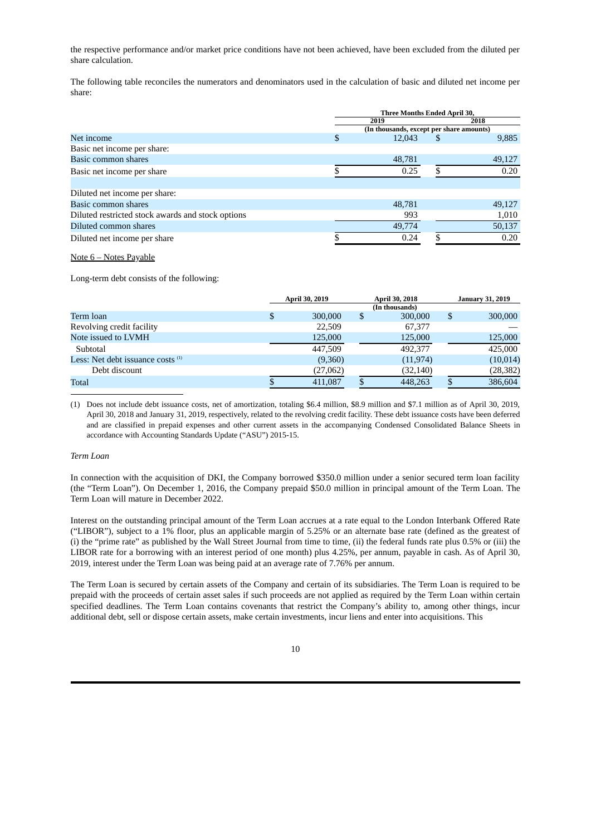the respective performance and/or market price conditions have not been achieved, have been excluded from the diluted per share calculation.

The following table reconciles the numerators and denominators used in the calculation of basic and diluted net income per share:

|                                                   | Three Months Ended April 30,             |      |        |  |  |  |
|---------------------------------------------------|------------------------------------------|------|--------|--|--|--|
|                                                   | 2019                                     | 2018 |        |  |  |  |
|                                                   | (In thousands, except per share amounts) |      |        |  |  |  |
| Net income                                        | \$<br>12,043                             |      | 9,885  |  |  |  |
| Basic net income per share:                       |                                          |      |        |  |  |  |
| Basic common shares                               | 48,781                                   |      | 49,127 |  |  |  |
| Basic net income per share                        | 0.25                                     |      | 0.20   |  |  |  |
|                                                   |                                          |      |        |  |  |  |
| Diluted net income per share:                     |                                          |      |        |  |  |  |
| Basic common shares                               | 48,781                                   |      | 49,127 |  |  |  |
| Diluted restricted stock awards and stock options | 993                                      |      | 1,010  |  |  |  |
| Diluted common shares                             | 49,774                                   |      | 50,137 |  |  |  |
| Diluted net income per share                      | 0.24                                     |      | 0.20   |  |  |  |
|                                                   |                                          |      |        |  |  |  |

Note 6 – Notes Payable

Long-term debt consists of the following:

|                                              | April 30, 2019 | <b>April 30, 2018</b> |   | <b>January 31, 2019</b> |
|----------------------------------------------|----------------|-----------------------|---|-------------------------|
|                                              |                | (In thousands)        |   |                         |
| Term loan                                    | \$<br>300,000  | \$<br>300,000         | S | 300,000                 |
| Revolving credit facility                    | 22,509         | 67,377                |   |                         |
| Note issued to LVMH                          | 125,000        | 125,000               |   | 125,000                 |
| Subtotal                                     | 447,509        | 492,377               |   | 425,000                 |
| Less: Net debt issuance costs <sup>(1)</sup> | (9,360)        | (11, 974)             |   | (10, 014)               |
| Debt discount                                | (27,062)       | (32, 140)             |   | (28, 382)               |
| Total                                        | 411.087        | \$<br>448.263         |   | 386,604                 |

(1) Does not include debt issuance costs, net of amortization, totaling \$6.4 million, \$8.9 million and \$7.1 million as of April 30, 2019, April 30, 2018 and January 31, 2019, respectively, related to the revolving credit facility. These debt issuance costs have been deferred and are classified in prepaid expenses and other current assets in the accompanying Condensed Consolidated Balance Sheets in accordance with Accounting Standards Update ("ASU") 2015-15.

#### *Term Loan*

In connection with the acquisition of DKI, the Company borrowed \$350.0 million under a senior secured term loan facility (the "Term Loan"). On December 1, 2016, the Company prepaid \$50.0 million in principal amount of the Term Loan. The Term Loan will mature in December 2022.

Interest on the outstanding principal amount of the Term Loan accrues at a rate equal to the London Interbank Offered Rate ("LIBOR"), subject to a 1% floor, plus an applicable margin of 5.25% or an alternate base rate (defined as the greatest of (i) the "prime rate" as published by the Wall Street Journal from time to time, (ii) the federal funds rate plus 0.5% or (iii) the LIBOR rate for a borrowing with an interest period of one month) plus 4.25%, per annum, payable in cash. As of April 30, 2019, interest under the Term Loan was being paid at an average rate of 7.76% per annum.

The Term Loan is secured by certain assets of the Company and certain of its subsidiaries. The Term Loan is required to be prepaid with the proceeds of certain asset sales if such proceeds are not applied as required by the Term Loan within certain specified deadlines. The Term Loan contains covenants that restrict the Company's ability to, among other things, incur additional debt, sell or dispose certain assets, make certain investments, incur liens and enter into acquisitions. This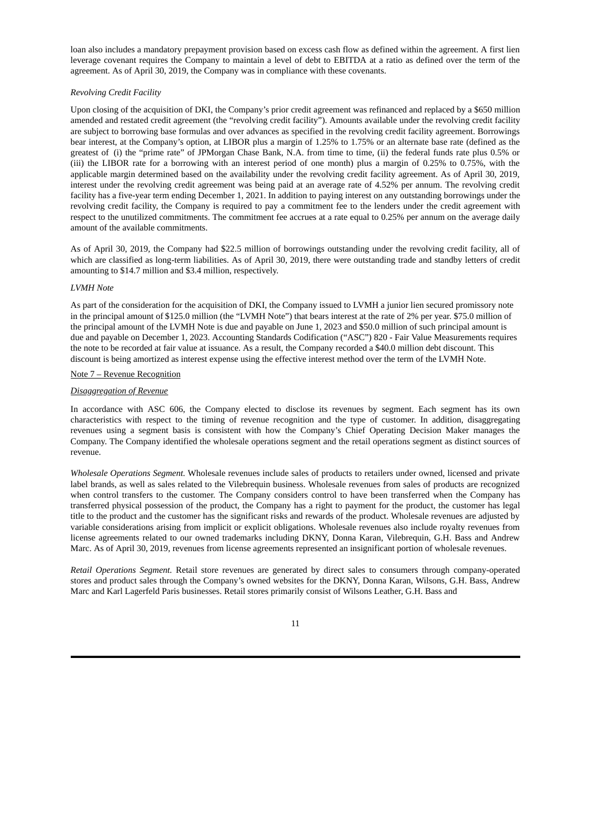loan also includes a mandatory prepayment provision based on excess cash flow as defined within the agreement. A first lien leverage covenant requires the Company to maintain a level of debt to EBITDA at a ratio as defined over the term of the agreement. As of April 30, 2019, the Company was in compliance with these covenants.

# *Revolving Credit Facility*

Upon closing of the acquisition of DKI, the Company's prior credit agreement was refinanced and replaced by a \$650 million amended and restated credit agreement (the "revolving credit facility"). Amounts available under the revolving credit facility are subject to borrowing base formulas and over advances as specified in the revolving credit facility agreement. Borrowings bear interest, at the Company's option, at LIBOR plus a margin of 1.25% to 1.75% or an alternate base rate (defined as the greatest of (i) the "prime rate" of JPMorgan Chase Bank, N.A. from time to time, (ii) the federal funds rate plus 0.5% or (iii) the LIBOR rate for a borrowing with an interest period of one month) plus a margin of 0.25% to 0.75%, with the applicable margin determined based on the availability under the revolving credit facility agreement. As of April 30, 2019, interest under the revolving credit agreement was being paid at an average rate of 4.52% per annum. The revolving credit facility has a five-year term ending December 1, 2021. In addition to paying interest on any outstanding borrowings under the revolving credit facility, the Company is required to pay a commitment fee to the lenders under the credit agreement with respect to the unutilized commitments. The commitment fee accrues at a rate equal to 0.25% per annum on the average daily amount of the available commitments.

As of April 30, 2019, the Company had \$22.5 million of borrowings outstanding under the revolving credit facility, all of which are classified as long-term liabilities. As of April 30, 2019, there were outstanding trade and standby letters of credit amounting to \$14.7 million and \$3.4 million, respectively.

# *LVMH Note*

As part of the consideration for the acquisition of DKI, the Company issued to LVMH a junior lien secured promissory note in the principal amount of \$125.0 million (the "LVMH Note") that bears interest at the rate of 2% per year. \$75.0 million of the principal amount of the LVMH Note is due and payable on June 1, 2023 and \$50.0 million of such principal amount is due and payable on December 1, 2023. Accounting Standards Codification ("ASC") 820 - Fair Value Measurements requires the note to be recorded at fair value at issuance. As a result, the Company recorded a \$40.0 million debt discount. This discount is being amortized as interest expense using the effective interest method over the term of the LVMH Note.

#### Note 7 – Revenue Recognition

#### *Disaggregation of Revenue*

In accordance with ASC 606, the Company elected to disclose its revenues by segment. Each segment has its own characteristics with respect to the timing of revenue recognition and the type of customer. In addition, disaggregating revenues using a segment basis is consistent with how the Company's Chief Operating Decision Maker manages the Company. The Company identified the wholesale operations segment and the retail operations segment as distinct sources of revenue.

*Wholesale Operations Segment.* Wholesale revenues include sales of products to retailers under owned, licensed and private label brands, as well as sales related to the Vilebrequin business. Wholesale revenues from sales of products are recognized when control transfers to the customer. The Company considers control to have been transferred when the Company has transferred physical possession of the product, the Company has a right to payment for the product, the customer has legal title to the product and the customer has the significant risks and rewards of the product. Wholesale revenues are adjusted by variable considerations arising from implicit or explicit obligations. Wholesale revenues also include royalty revenues from license agreements related to our owned trademarks including DKNY, Donna Karan, Vilebrequin, G.H. Bass and Andrew Marc. As of April 30, 2019, revenues from license agreements represented an insignificant portion of wholesale revenues.

*Retail Operations Segment.* Retail store revenues are generated by direct sales to consumers through company-operated stores and product sales through the Company's owned websites for the DKNY, Donna Karan, Wilsons, G.H. Bass, Andrew Marc and Karl Lagerfeld Paris businesses. Retail stores primarily consist of Wilsons Leather, G.H. Bass and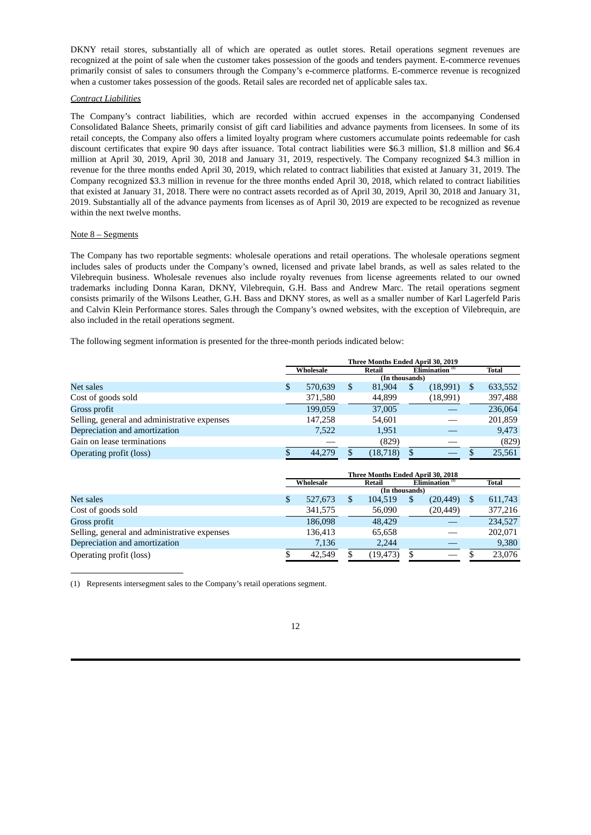DKNY retail stores, substantially all of which are operated as outlet stores. Retail operations segment revenues are recognized at the point of sale when the customer takes possession of the goods and tenders payment. E-commerce revenues primarily consist of sales to consumers through the Company's e-commerce platforms. E-commerce revenue is recognized when a customer takes possession of the goods. Retail sales are recorded net of applicable sales tax.

#### *Contract Liabilities*

The Company's contract liabilities, which are recorded within accrued expenses in the accompanying Condensed Consolidated Balance Sheets, primarily consist of gift card liabilities and advance payments from licensees. In some of its retail concepts, the Company also offers a limited loyalty program where customers accumulate points redeemable for cash discount certificates that expire 90 days after issuance. Total contract liabilities were \$6.3 million, \$1.8 million and \$6.4 million at April 30, 2019, April 30, 2018 and January 31, 2019, respectively. The Company recognized \$4.3 million in revenue for the three months ended April 30, 2019, which related to contract liabilities that existed at January 31, 2019. The Company recognized \$3.3 million in revenue for the three months ended April 30, 2018, which related to contract liabilities that existed at January 31, 2018. There were no contract assets recorded as of April 30, 2019, April 30, 2018 and January 31, 2019. Substantially all of the advance payments from licenses as of April 30, 2019 are expected to be recognized as revenue within the next twelve months.

### Note 8 – Segments

The Company has two reportable segments: wholesale operations and retail operations. The wholesale operations segment includes sales of products under the Company's owned, licensed and private label brands, as well as sales related to the Vilebrequin business. Wholesale revenues also include royalty revenues from license agreements related to our owned trademarks including Donna Karan, DKNY, Vilebrequin, G.H. Bass and Andrew Marc. The retail operations segment consists primarily of the Wilsons Leather, G.H. Bass and DKNY stores, as well as a smaller number of Karl Lagerfeld Paris and Calvin Klein Performance stores. Sales through the Company's owned websites, with the exception of Vilebrequin, are also included in the retail operations segment.

The following segment information is presented for the three-month periods indicated below:

|                                              | Three Months Ended April 30, 2019 |               |          |                |                            |    |         |  |  |
|----------------------------------------------|-----------------------------------|---------------|----------|----------------|----------------------------|----|---------|--|--|
|                                              | Wholesale                         |               | Retail   |                | Elimination <sup>(1)</sup> |    | Total   |  |  |
|                                              |                                   |               |          | (In thousands) |                            |    |         |  |  |
| Net sales                                    | \$                                | 570,639<br>\$ | 81,904   |                | (18,991)                   | -S | 633,552 |  |  |
| Cost of goods sold                           |                                   | 371,580       | 44,899   |                | (18,991)                   |    | 397,488 |  |  |
| Gross profit                                 |                                   | 199,059       | 37,005   |                |                            |    | 236,064 |  |  |
| Selling, general and administrative expenses |                                   | 147,258       | 54,601   |                |                            |    | 201,859 |  |  |
| Depreciation and amortization                |                                   | 7,522         | 1,951    |                |                            |    | 9,473   |  |  |
| Gain on lease terminations                   |                                   |               | (829)    |                |                            |    | (829)   |  |  |
| Operating profit (loss)                      |                                   | 44,279<br>S.  | (18,718) |                |                            |    | 25,561  |  |  |

|                                              | Three Months Ended April 30, 2018 |                |        |           |                   |           |  |         |
|----------------------------------------------|-----------------------------------|----------------|--------|-----------|-------------------|-----------|--|---------|
|                                              | Wholesale                         |                | Retail |           | Elimination $(1)$ |           |  | Total   |
|                                              |                                   | (In thousands) |        |           |                   |           |  |         |
| Net sales                                    | \$                                | 527,673        |        | 104,519   |                   | (20, 449) |  | 611,743 |
| Cost of goods sold                           |                                   | 341,575        |        | 56,090    |                   | (20, 449) |  | 377,216 |
| Gross profit                                 |                                   | 186,098        |        | 48.429    |                   |           |  | 234,527 |
| Selling, general and administrative expenses |                                   | 136.413        |        | 65,658    |                   |           |  | 202,071 |
| Depreciation and amortization                |                                   | 7,136          |        | 2,244     |                   |           |  | 9,380   |
| Operating profit (loss)                      |                                   | 42,549         |        | (19, 473) |                   |           |  | 23,076  |

(1) Represents intersegment sales to the Company's retail operations segment.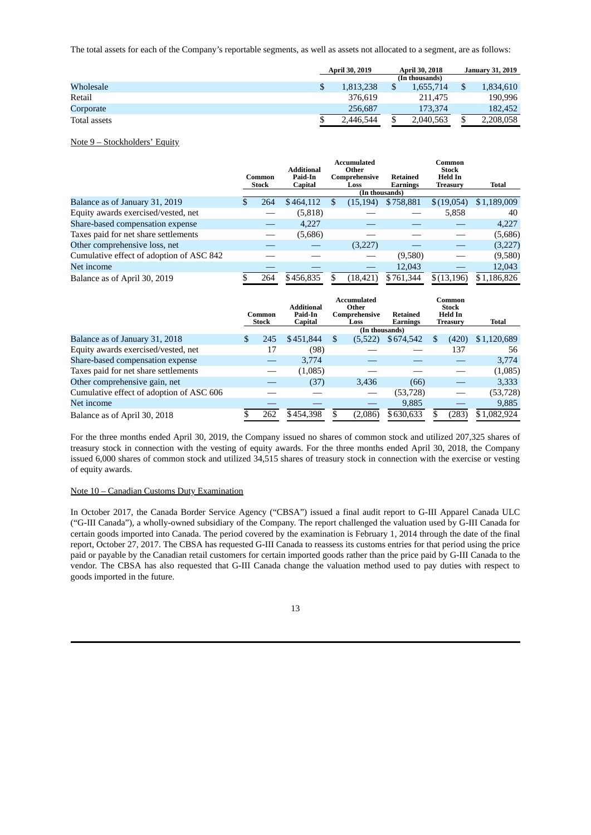The total assets for each of the Company's reportable segments, as well as assets not allocated to a segment, are as follows:

|              |     | April 30, 2019 |    | <b>April 30, 2018</b> |  | <b>January 31, 2019</b> |  |
|--------------|-----|----------------|----|-----------------------|--|-------------------------|--|
|              |     |                |    | (In thousands)        |  |                         |  |
| Wholesale    | \$. | 1,813,238      | \$ | 1,655,714             |  | 1,834,610               |  |
| Retail       |     | 376.619        |    | 211.475               |  | 190,996                 |  |
| Corporate    |     | 256,687        |    | 173,374               |  | 182,452                 |  |
| Total assets |     | 2.446.544      | \$ | 2,040,563             |  | 2,208,058               |  |

Note 9 – Stockholders' Equity

|                                          | Common | <b>Additional</b><br>Paid-In |   | Accumulated<br>Other<br>Comprehensive | Retained        | Common<br><b>Stock</b><br><b>Held In</b> |             |
|------------------------------------------|--------|------------------------------|---|---------------------------------------|-----------------|------------------------------------------|-------------|
|                                          | Stock  | <b>Capital</b>               |   | Loss                                  | <b>Earnings</b> | <b>Treasury</b>                          | Total       |
|                                          |        |                              |   | (In thousands)                        |                 |                                          |             |
| Balance as of January 31, 2019           | 264    | \$464,112                    | S | (15, 194)                             | \$758,881       | \$(19,054)                               | \$1,189,009 |
| Equity awards exercised/vested, net      |        | (5,818)                      |   |                                       |                 | 5,858                                    | 40          |
| Share-based compensation expense         |        | 4.227                        |   |                                       |                 |                                          | 4,227       |
| Taxes paid for net share settlements     |        | (5,686)                      |   |                                       |                 |                                          | (5,686)     |
| Other comprehensive loss, net            |        |                              |   | (3,227)                               |                 |                                          | (3,227)     |
| Cumulative effect of adoption of ASC 842 |        |                              |   |                                       | (9,580)         |                                          | (9,580)     |
| Net income                               |        |                              |   |                                       | 12.043          |                                          | 12,043      |
| Balance as of April 30, 2019             | 264    | \$456,835                    |   | (18, 421)                             | \$761,344       | \$(13, 196)                              | \$1,186,826 |

|                                          | Paid-In<br>Common<br><b>Capital</b><br>Stock |     | <b>Additional</b> | Accumulated<br>Other<br>Comprehensive<br>Loss | Retained<br>Earnings | Common<br><b>Stock</b><br>Held In<br><b>Treasury</b> |       | Total       |
|------------------------------------------|----------------------------------------------|-----|-------------------|-----------------------------------------------|----------------------|------------------------------------------------------|-------|-------------|
| Balance as of January 31, 2018           | \$.                                          | 245 | \$451,844         | \$<br>(In thousands)<br>(5,522)               | \$674,542            | S                                                    | (420) | \$1,120,689 |
| Equity awards exercised/vested, net      |                                              | 17  | (98)              |                                               |                      |                                                      | 137   | 56          |
| Share-based compensation expense         |                                              |     | 3,774             |                                               |                      |                                                      |       | 3,774       |
| Taxes paid for net share settlements     |                                              |     | (1,085)           |                                               |                      |                                                      |       | (1,085)     |
| Other comprehensive gain, net            |                                              |     | (37)              | 3,436                                         | (66)                 |                                                      |       | 3,333       |
| Cumulative effect of adoption of ASC 606 |                                              |     |                   |                                               | (53, 728)            |                                                      |       | (53, 728)   |
| Net income                               |                                              |     |                   |                                               | 9,885                |                                                      |       | 9,885       |
| Balance as of April 30, 2018             |                                              | 262 | \$454,398         | (2,086)                                       | \$630.633            |                                                      | (283) | \$1,082,924 |

For the three months ended April 30, 2019, the Company issued no shares of common stock and utilized 207,325 shares of treasury stock in connection with the vesting of equity awards. For the three months ended April 30, 2018, the Company issued 6,000 shares of common stock and utilized 34,515 shares of treasury stock in connection with the exercise or vesting of equity awards.

### Note 10 – Canadian Customs Duty Examination

In October 2017, the Canada Border Service Agency ("CBSA") issued a final audit report to G-III Apparel Canada ULC ("G-III Canada"), a wholly-owned subsidiary of the Company. The report challenged the valuation used by G-III Canada for certain goods imported into Canada. The period covered by the examination is February 1, 2014 through the date of the final report, October 27, 2017. The CBSA has requested G-III Canada to reassess its customs entries for that period using the price paid or payable by the Canadian retail customers for certain imported goods rather than the price paid by G-III Canada to the vendor. The CBSA has also requested that G-III Canada change the valuation method used to pay duties with respect to goods imported in the future.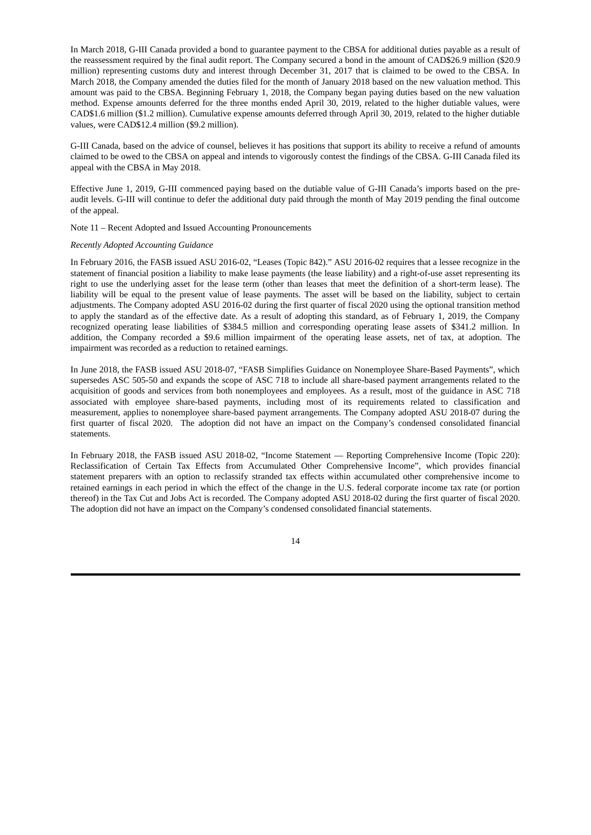In March 2018, G-III Canada provided a bond to guarantee payment to the CBSA for additional duties payable as a result of the reassessment required by the final audit report. The Company secured a bond in the amount of CAD\$26.9 million (\$20.9 million) representing customs duty and interest through December 31, 2017 that is claimed to be owed to the CBSA. In March 2018, the Company amended the duties filed for the month of January 2018 based on the new valuation method. This amount was paid to the CBSA. Beginning February 1, 2018, the Company began paying duties based on the new valuation method. Expense amounts deferred for the three months ended April 30, 2019, related to the higher dutiable values, were CAD\$1.6 million (\$1.2 million). Cumulative expense amounts deferred through April 30, 2019, related to the higher dutiable values, were CAD\$12.4 million (\$9.2 million).

G-III Canada, based on the advice of counsel, believes it has positions that support its ability to receive a refund of amounts claimed to be owed to the CBSA on appeal and intends to vigorously contest the findings of the CBSA. G-III Canada filed its appeal with the CBSA in May 2018.

Effective June 1, 2019, G-III commenced paying based on the dutiable value of G-III Canada's imports based on the preaudit levels. G-III will continue to defer the additional duty paid through the month of May 2019 pending the final outcome of the appeal.

Note 11 – Recent Adopted and Issued Accounting Pronouncements

#### *Recently Adopted Accounting Guidance*

In February 2016, the FASB issued ASU 2016-02, "Leases (Topic 842)." ASU 2016‑02 requires that a lessee recognize in the statement of financial position a liability to make lease payments (the lease liability) and a right-of-use asset representing its right to use the underlying asset for the lease term (other than leases that meet the definition of a short-term lease). The liability will be equal to the present value of lease payments. The asset will be based on the liability, subject to certain adjustments. The Company adopted ASU 2016-02 during the first quarter of fiscal 2020 using the optional transition method to apply the standard as of the effective date. As a result of adopting this standard, as of February 1, 2019, the Company recognized operating lease liabilities of \$384.5 million and corresponding operating lease assets of \$341.2 million. In addition, the Company recorded a \$9.6 million impairment of the operating lease assets, net of tax, at adoption. The impairment was recorded as a reduction to retained earnings.

In June 2018, the FASB issued ASU 2018‑07, "FASB Simplifies Guidance on Nonemployee Share-Based Payments", which supersedes ASC 505‑50 and expands the scope of ASC 718 to include all share-based payment arrangements related to the acquisition of goods and services from both nonemployees and employees. As a result, most of the guidance in ASC 718 associated with employee share-based payments, including most of its requirements related to classification and measurement, applies to nonemployee share-based payment arrangements. The Company adopted ASU 2018‑07 during the first quarter of fiscal 2020. The adoption did not have an impact on the Company's condensed consolidated financial statements.

In February 2018, the FASB issued ASU 2018‑02, "Income Statement — Reporting Comprehensive Income (Topic 220): Reclassification of Certain Tax Effects from Accumulated Other Comprehensive Income", which provides financial statement preparers with an option to reclassify stranded tax effects within accumulated other comprehensive income to retained earnings in each period in which the effect of the change in the U.S. federal corporate income tax rate (or portion thereof) in the Tax Cut and Jobs Act is recorded. The Company adopted ASU 2018‑02 during the first quarter of fiscal 2020. The adoption did not have an impact on the Company's condensed consolidated financial statements.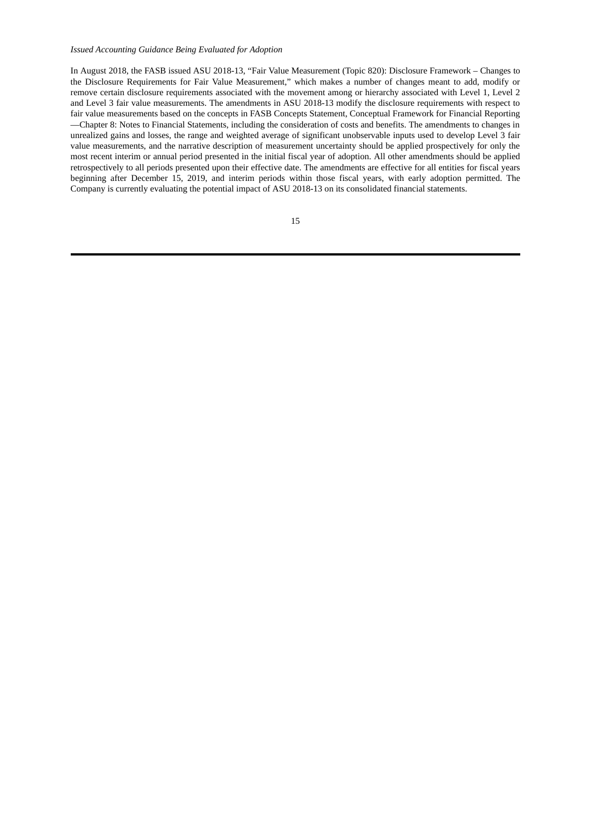#### *Issued Accounting Guidance Being Evaluated for Adoption*

In August 2018, the FASB issued ASU 2018-13, "Fair Value Measurement (Topic 820): Disclosure Framework – Changes to the Disclosure Requirements for Fair Value Measurement," which makes a number of changes meant to add, modify or remove certain disclosure requirements associated with the movement among or hierarchy associated with Level 1, Level 2 and Level 3 fair value measurements. The amendments in ASU 2018-13 modify the disclosure requirements with respect to fair value measurements based on the concepts in FASB Concepts Statement, Conceptual Framework for Financial Reporting —Chapter 8: Notes to Financial Statements, including the consideration of costs and benefits. The amendments to changes in unrealized gains and losses, the range and weighted average of significant unobservable inputs used to develop Level 3 fair value measurements, and the narrative description of measurement uncertainty should be applied prospectively for only the most recent interim or annual period presented in the initial fiscal year of adoption. All other amendments should be applied retrospectively to all periods presented upon their effective date. The amendments are effective for all entities for fiscal years beginning after December 15, 2019, and interim periods within those fiscal years, with early adoption permitted. The Company is currently evaluating the potential impact of ASU 2018-13 on its consolidated financial statements.

| P.           |
|--------------|
| I<br>×<br>۰, |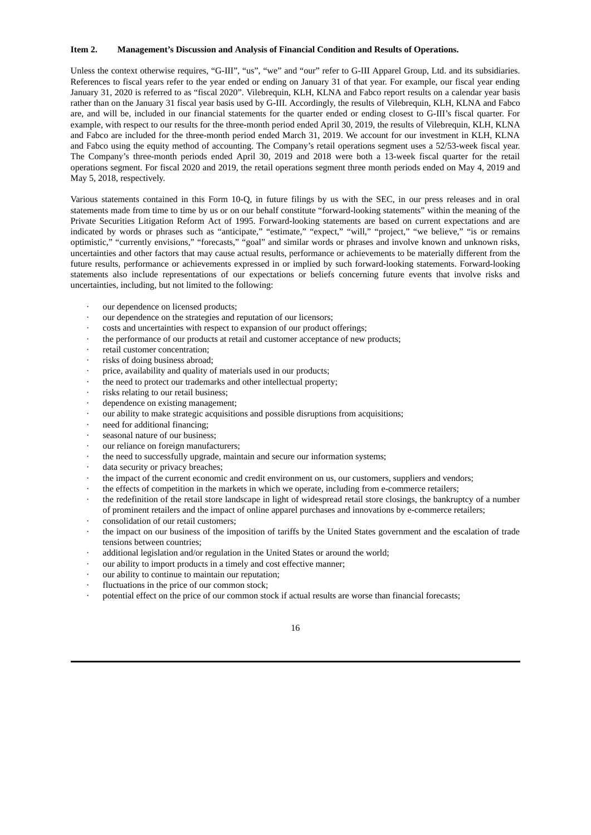#### <span id="page-15-0"></span>**Item 2. Management's Discussion and Analysis of Financial Condition and Results of Operations.**

Unless the context otherwise requires, "G-III", "us", "we" and "our" refer to G-III Apparel Group, Ltd. and its subsidiaries. References to fiscal years refer to the year ended or ending on January 31 of that year. For example, our fiscal year ending January 31, 2020 is referred to as "fiscal 2020". Vilebrequin, KLH, KLNA and Fabco report results on a calendar year basis rather than on the January 31 fiscal year basis used by G-III. Accordingly, the results of Vilebrequin, KLH, KLNA and Fabco are, and will be, included in our financial statements for the quarter ended or ending closest to G-III's fiscal quarter. For example, with respect to our results for the three-month period ended April 30, 2019, the results of Vilebrequin, KLH, KLNA and Fabco are included for the three-month period ended March 31, 2019. We account for our investment in KLH, KLNA and Fabco using the equity method of accounting. The Company's retail operations segment uses a 52/53‑week fiscal year. The Company's three-month periods ended April 30, 2019 and 2018 were both a 13‑week fiscal quarter for the retail operations segment. For fiscal 2020 and 2019, the retail operations segment three month periods ended on May 4, 2019 and May 5, 2018, respectively.

Various statements contained in this Form 10‑Q, in future filings by us with the SEC, in our press releases and in oral statements made from time to time by us or on our behalf constitute "forward-looking statements" within the meaning of the Private Securities Litigation Reform Act of 1995. Forward-looking statements are based on current expectations and are indicated by words or phrases such as "anticipate," "estimate," "expect," "will," "project," "we believe," "is or remains optimistic," "currently envisions," "forecasts," "goal" and similar words or phrases and involve known and unknown risks, uncertainties and other factors that may cause actual results, performance or achievements to be materially different from the future results, performance or achievements expressed in or implied by such forward-looking statements. Forward-looking statements also include representations of our expectations or beliefs concerning future events that involve risks and uncertainties, including, but not limited to the following:

- our dependence on licensed products;
- our dependence on the strategies and reputation of our licensors;
- · costs and uncertainties with respect to expansion of our product offerings;
- the performance of our products at retail and customer acceptance of new products;
- retail customer concentration;
- risks of doing business abroad;
- price, availability and quality of materials used in our products;
- the need to protect our trademarks and other intellectual property;
- risks relating to our retail business;
- dependence on existing management;
- our ability to make strategic acquisitions and possible disruptions from acquisitions;
- need for additional financing;
- seasonal nature of our business:
- our reliance on foreign manufacturers;
- the need to successfully upgrade, maintain and secure our information systems;
- data security or privacy breaches;
- the impact of the current economic and credit environment on us, our customers, suppliers and vendors;
- the effects of competition in the markets in which we operate, including from e-commerce retailers;
- the redefinition of the retail store landscape in light of widespread retail store closings, the bankruptcy of a number of prominent retailers and the impact of online apparel purchases and innovations by e-commerce retailers;
- consolidation of our retail customers;
- the impact on our business of the imposition of tariffs by the United States government and the escalation of trade tensions between countries;
- additional legislation and/or regulation in the United States or around the world;
- our ability to import products in a timely and cost effective manner;
- our ability to continue to maintain our reputation;
- fluctuations in the price of our common stock;
- potential effect on the price of our common stock if actual results are worse than financial forecasts;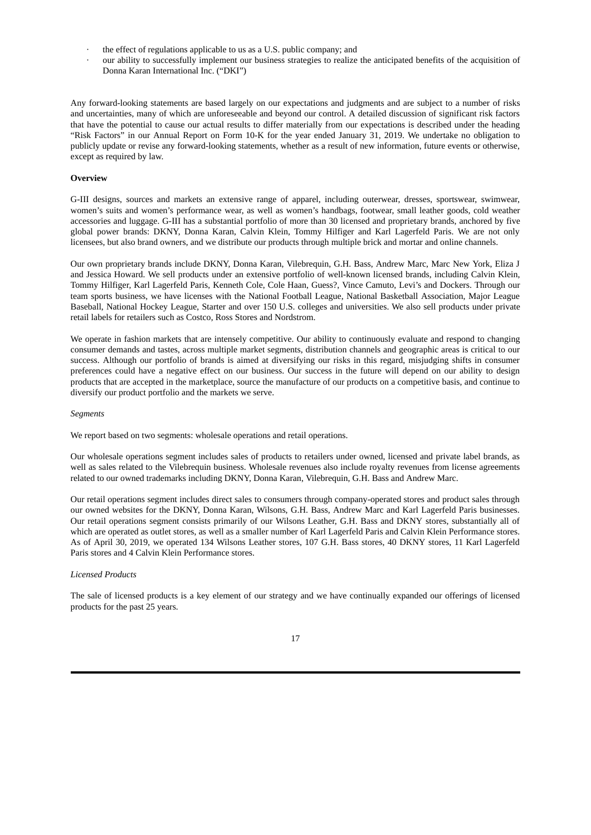- the effect of regulations applicable to us as a U.S. public company; and
- · our ability to successfully implement our business strategies to realize the anticipated benefits of the acquisition of Donna Karan International Inc. ("DKI")

Any forward-looking statements are based largely on our expectations and judgments and are subject to a number of risks and uncertainties, many of which are unforeseeable and beyond our control. A detailed discussion of significant risk factors that have the potential to cause our actual results to differ materially from our expectations is described under the heading "Risk Factors" in our Annual Report on Form 10‑K for the year ended January 31, 2019. We undertake no obligation to publicly update or revise any forward-looking statements, whether as a result of new information, future events or otherwise, except as required by law.

### **Overview**

G-III designs, sources and markets an extensive range of apparel, including outerwear, dresses, sportswear, swimwear, women's suits and women's performance wear, as well as women's handbags, footwear, small leather goods, cold weather accessories and luggage. G-III has a substantial portfolio of more than 30 licensed and proprietary brands, anchored by five global power brands: DKNY, Donna Karan, Calvin Klein, Tommy Hilfiger and Karl Lagerfeld Paris. We are not only licensees, but also brand owners, and we distribute our products through multiple brick and mortar and online channels.

Our own proprietary brands include DKNY, Donna Karan, Vilebrequin, G.H. Bass, Andrew Marc, Marc New York, Eliza J and Jessica Howard. We sell products under an extensive portfolio of well-known licensed brands, including Calvin Klein, Tommy Hilfiger, Karl Lagerfeld Paris, Kenneth Cole, Cole Haan, Guess?, Vince Camuto, Levi's and Dockers. Through our team sports business, we have licenses with the National Football League, National Basketball Association, Major League Baseball, National Hockey League, Starter and over 150 U.S. colleges and universities. We also sell products under private retail labels for retailers such as Costco, Ross Stores and Nordstrom.

We operate in fashion markets that are intensely competitive. Our ability to continuously evaluate and respond to changing consumer demands and tastes, across multiple market segments, distribution channels and geographic areas is critical to our success. Although our portfolio of brands is aimed at diversifying our risks in this regard, misjudging shifts in consumer preferences could have a negative effect on our business. Our success in the future will depend on our ability to design products that are accepted in the marketplace, source the manufacture of our products on a competitive basis, and continue to diversify our product portfolio and the markets we serve.

#### *Segments*

We report based on two segments: wholesale operations and retail operations.

Our wholesale operations segment includes sales of products to retailers under owned, licensed and private label brands, as well as sales related to the Vilebrequin business. Wholesale revenues also include royalty revenues from license agreements related to our owned trademarks including DKNY, Donna Karan, Vilebrequin, G.H. Bass and Andrew Marc.

Our retail operations segment includes direct sales to consumers through company-operated stores and product sales through our owned websites for the DKNY, Donna Karan, Wilsons, G.H. Bass, Andrew Marc and Karl Lagerfeld Paris businesses. Our retail operations segment consists primarily of our Wilsons Leather, G.H. Bass and DKNY stores, substantially all of which are operated as outlet stores, as well as a smaller number of Karl Lagerfeld Paris and Calvin Klein Performance stores. As of April 30, 2019, we operated 134 Wilsons Leather stores, 107 G.H. Bass stores, 40 DKNY stores, 11 Karl Lagerfeld Paris stores and 4 Calvin Klein Performance stores.

#### *Licensed Products*

The sale of licensed products is a key element of our strategy and we have continually expanded our offerings of licensed products for the past 25 years.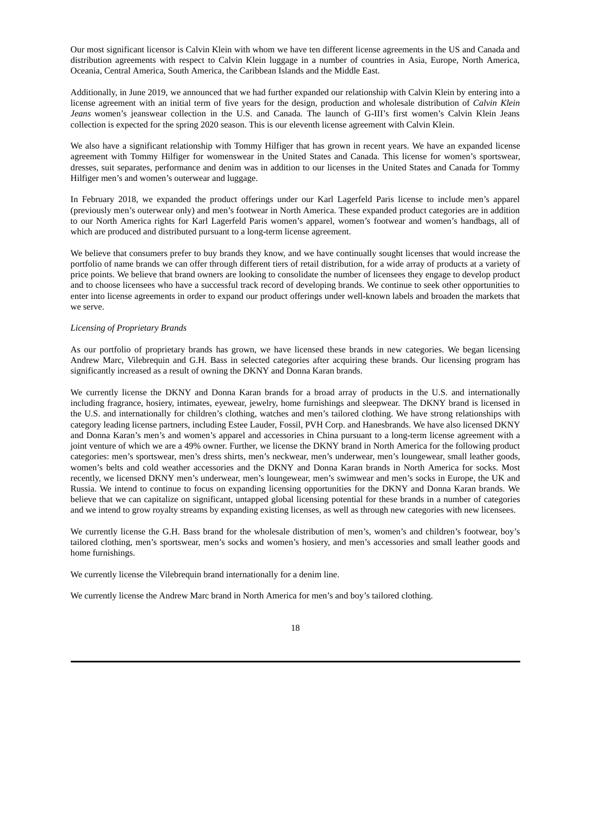Our most significant licensor is Calvin Klein with whom we have ten different license agreements in the US and Canada and distribution agreements with respect to Calvin Klein luggage in a number of countries in Asia, Europe, North America, Oceania, Central America, South America, the Caribbean Islands and the Middle East.

Additionally, in June 2019, we announced that we had further expanded our relationship with Calvin Klein by entering into a license agreement with an initial term of five years for the design, production and wholesale distribution of *Calvin Klein Jeans* women's jeanswear collection in the U.S. and Canada. The launch of G-III's first women's Calvin Klein Jeans collection is expected for the spring 2020 season. This is our eleventh license agreement with Calvin Klein.

We also have a significant relationship with Tommy Hilfiger that has grown in recent years. We have an expanded license agreement with Tommy Hilfiger for womenswear in the United States and Canada. This license for women's sportswear, dresses, suit separates, performance and denim was in addition to our licenses in the United States and Canada for Tommy Hilfiger men's and women's outerwear and luggage.

In February 2018, we expanded the product offerings under our Karl Lagerfeld Paris license to include men's apparel (previously men's outerwear only) and men's footwear in North America. These expanded product categories are in addition to our North America rights for Karl Lagerfeld Paris women's apparel, women's footwear and women's handbags, all of which are produced and distributed pursuant to a long-term license agreement.

We believe that consumers prefer to buy brands they know, and we have continually sought licenses that would increase the portfolio of name brands we can offer through different tiers of retail distribution, for a wide array of products at a variety of price points. We believe that brand owners are looking to consolidate the number of licensees they engage to develop product and to choose licensees who have a successful track record of developing brands. We continue to seek other opportunities to enter into license agreements in order to expand our product offerings under well-known labels and broaden the markets that we serve.

#### *Licensing of Proprietary Brands*

As our portfolio of proprietary brands has grown, we have licensed these brands in new categories. We began licensing Andrew Marc, Vilebrequin and G.H. Bass in selected categories after acquiring these brands. Our licensing program has significantly increased as a result of owning the DKNY and Donna Karan brands.

We currently license the DKNY and Donna Karan brands for a broad array of products in the U.S. and internationally including fragrance, hosiery, intimates, eyewear, jewelry, home furnishings and sleepwear. The DKNY brand is licensed in the U.S. and internationally for children's clothing, watches and men's tailored clothing. We have strong relationships with category leading license partners, including Estee Lauder, Fossil, PVH Corp. and Hanesbrands. We have also licensed DKNY and Donna Karan's men's and women's apparel and accessories in China pursuant to a long-term license agreement with a joint venture of which we are a 49% owner. Further, we license the DKNY brand in North America for the following product categories: men's sportswear, men's dress shirts, men's neckwear, men's underwear, men's loungewear, small leather goods, women's belts and cold weather accessories and the DKNY and Donna Karan brands in North America for socks. Most recently, we licensed DKNY men's underwear, men's loungewear, men's swimwear and men's socks in Europe, the UK and Russia. We intend to continue to focus on expanding licensing opportunities for the DKNY and Donna Karan brands. We believe that we can capitalize on significant, untapped global licensing potential for these brands in a number of categories and we intend to grow royalty streams by expanding existing licenses, as well as through new categories with new licensees.

We currently license the G.H. Bass brand for the wholesale distribution of men's, women's and children's footwear, boy's tailored clothing, men's sportswear, men's socks and women's hosiery, and men's accessories and small leather goods and home furnishings.

We currently license the Vilebrequin brand internationally for a denim line.

We currently license the Andrew Marc brand in North America for men's and boy's tailored clothing.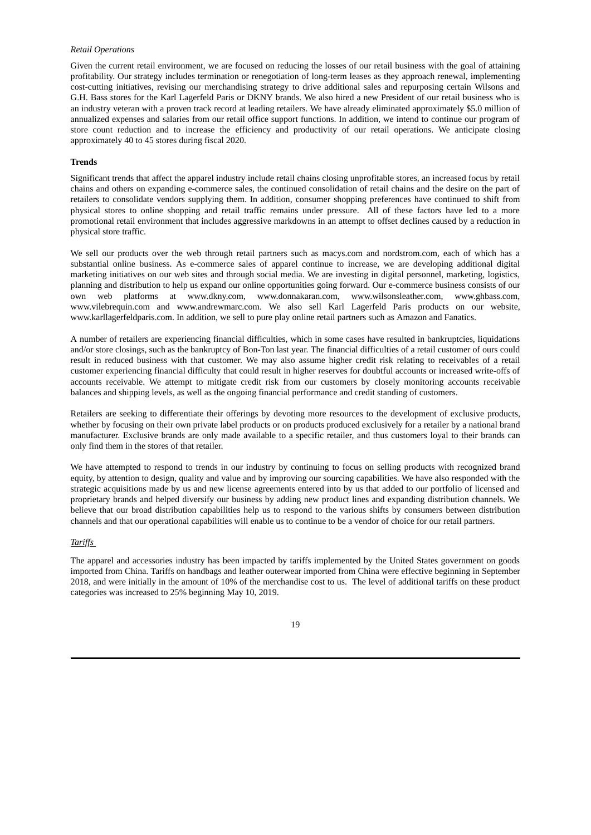#### *Retail Operations*

Given the current retail environment, we are focused on reducing the losses of our retail business with the goal of attaining profitability. Our strategy includes termination or renegotiation of long-term leases as they approach renewal, implementing cost-cutting initiatives, revising our merchandising strategy to drive additional sales and repurposing certain Wilsons and G.H. Bass stores for the Karl Lagerfeld Paris or DKNY brands. We also hired a new President of our retail business who is an industry veteran with a proven track record at leading retailers. We have already eliminated approximately \$5.0 million of annualized expenses and salaries from our retail office support functions. In addition, we intend to continue our program of store count reduction and to increase the efficiency and productivity of our retail operations. We anticipate closing approximately 40 to 45 stores during fiscal 2020.

### **Trends**

Significant trends that affect the apparel industry include retail chains closing unprofitable stores, an increased focus by retail chains and others on expanding e-commerce sales, the continued consolidation of retail chains and the desire on the part of retailers to consolidate vendors supplying them. In addition, consumer shopping preferences have continued to shift from physical stores to online shopping and retail traffic remains under pressure. All of these factors have led to a more promotional retail environment that includes aggressive markdowns in an attempt to offset declines caused by a reduction in physical store traffic.

We sell our products over the web through retail partners such as macys.com and nordstrom.com, each of which has a substantial online business. As e-commerce sales of apparel continue to increase, we are developing additional digital marketing initiatives on our web sites and through social media. We are investing in digital personnel, marketing, logistics, planning and distribution to help us expand our online opportunities going forward. Our e-commerce business consists of our own web platforms at www.dkny.com, www.donnakaran.com, www.wilsonsleather.com, www.ghbass.com, www.vilebrequin.com and www.andrewmarc.com. We also sell Karl Lagerfeld Paris products on our website, www.karllagerfeldparis.com. In addition, we sell to pure play online retail partners such as Amazon and Fanatics.

A number of retailers are experiencing financial difficulties, which in some cases have resulted in bankruptcies, liquidations and/or store closings, such as the bankruptcy of Bon-Ton last year. The financial difficulties of a retail customer of ours could result in reduced business with that customer. We may also assume higher credit risk relating to receivables of a retail customer experiencing financial difficulty that could result in higher reserves for doubtful accounts or increased write-offs of accounts receivable. We attempt to mitigate credit risk from our customers by closely monitoring accounts receivable balances and shipping levels, as well as the ongoing financial performance and credit standing of customers.

Retailers are seeking to differentiate their offerings by devoting more resources to the development of exclusive products, whether by focusing on their own private label products or on products produced exclusively for a retailer by a national brand manufacturer. Exclusive brands are only made available to a specific retailer, and thus customers loyal to their brands can only find them in the stores of that retailer.

We have attempted to respond to trends in our industry by continuing to focus on selling products with recognized brand equity, by attention to design, quality and value and by improving our sourcing capabilities. We have also responded with the strategic acquisitions made by us and new license agreements entered into by us that added to our portfolio of licensed and proprietary brands and helped diversify our business by adding new product lines and expanding distribution channels. We believe that our broad distribution capabilities help us to respond to the various shifts by consumers between distribution channels and that our operational capabilities will enable us to continue to be a vendor of choice for our retail partners.

# *Tariffs*

The apparel and accessories industry has been impacted by tariffs implemented by the United States government on goods imported from China. Tariffs on handbags and leather outerwear imported from China were effective beginning in September 2018, and were initially in the amount of 10% of the merchandise cost to us. The level of additional tariffs on these product categories was increased to 25% beginning May 10, 2019.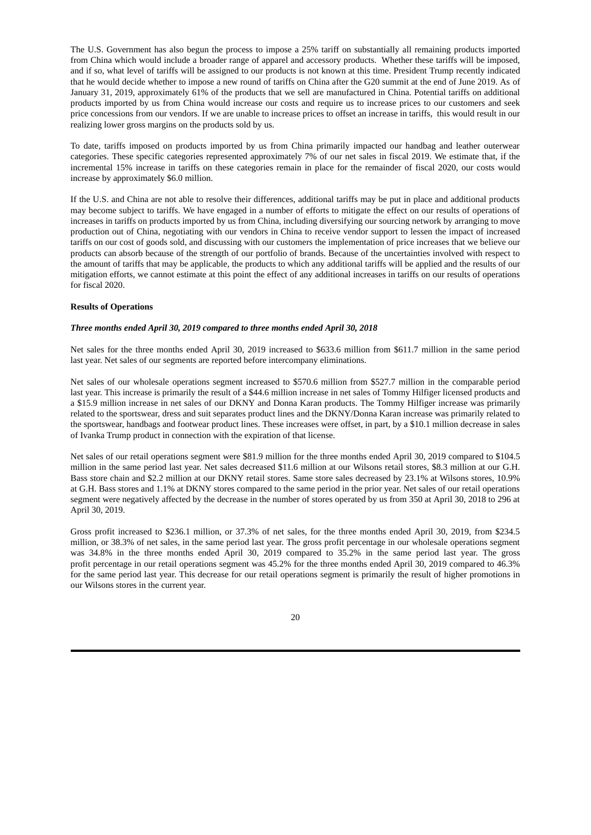The U.S. Government has also begun the process to impose a 25% tariff on substantially all remaining products imported from China which would include a broader range of apparel and accessory products. Whether these tariffs will be imposed, and if so, what level of tariffs will be assigned to our products is not known at this time. President Trump recently indicated that he would decide whether to impose a new round of tariffs on China after the G20 summit at the end of June 2019. As of January 31, 2019, approximately 61% of the products that we sell are manufactured in China. Potential tariffs on additional products imported by us from China would increase our costs and require us to increase prices to our customers and seek price concessions from our vendors. If we are unable to increase prices to offset an increase in tariffs, this would result in our realizing lower gross margins on the products sold by us.

To date, tariffs imposed on products imported by us from China primarily impacted our handbag and leather outerwear categories. These specific categories represented approximately 7% of our net sales in fiscal 2019. We estimate that, if the incremental 15% increase in tariffs on these categories remain in place for the remainder of fiscal 2020, our costs would increase by approximately \$6.0 million.

If the U.S. and China are not able to resolve their differences, additional tariffs may be put in place and additional products may become subject to tariffs. We have engaged in a number of efforts to mitigate the effect on our results of operations of increases in tariffs on products imported by us from China, including diversifying our sourcing network by arranging to move production out of China, negotiating with our vendors in China to receive vendor support to lessen the impact of increased tariffs on our cost of goods sold, and discussing with our customers the implementation of price increases that we believe our products can absorb because of the strength of our portfolio of brands. Because of the uncertainties involved with respect to the amount of tariffs that may be applicable, the products to which any additional tariffs will be applied and the results of our mitigation efforts, we cannot estimate at this point the effect of any additional increases in tariffs on our results of operations for fiscal 2020.

#### **Results of Operations**

#### *Three months ended April 30, 2019 compared to three months ended April 30, 2018*

Net sales for the three months ended April 30, 2019 increased to \$633.6 million from \$611.7 million in the same period last year. Net sales of our segments are reported before intercompany eliminations.

Net sales of our wholesale operations segment increased to \$570.6 million from \$527.7 million in the comparable period last year. This increase is primarily the result of a \$44.6 million increase in net sales of Tommy Hilfiger licensed products and a \$15.9 million increase in net sales of our DKNY and Donna Karan products. The Tommy Hilfiger increase was primarily related to the sportswear, dress and suit separates product lines and the DKNY/Donna Karan increase was primarily related to the sportswear, handbags and footwear product lines. These increases were offset, in part, by a \$10.1 million decrease in sales of Ivanka Trump product in connection with the expiration of that license.

Net sales of our retail operations segment were \$81.9 million for the three months ended April 30, 2019 compared to \$104.5 million in the same period last year. Net sales decreased \$11.6 million at our Wilsons retail stores, \$8.3 million at our G.H. Bass store chain and \$2.2 million at our DKNY retail stores. Same store sales decreased by 23.1% at Wilsons stores, 10.9% at G.H. Bass stores and 1.1% at DKNY stores compared to the same period in the prior year. Net sales of our retail operations segment were negatively affected by the decrease in the number of stores operated by us from 350 at April 30, 2018 to 296 at April 30, 2019.

Gross profit increased to \$236.1 million, or 37.3% of net sales, for the three months ended April 30, 2019, from \$234.5 million, or 38.3% of net sales, in the same period last year. The gross profit percentage in our wholesale operations segment was 34.8% in the three months ended April 30, 2019 compared to 35.2% in the same period last year. The gross profit percentage in our retail operations segment was 45.2% for the three months ended April 30, 2019 compared to 46.3% for the same period last year. This decrease for our retail operations segment is primarily the result of higher promotions in our Wilsons stores in the current year.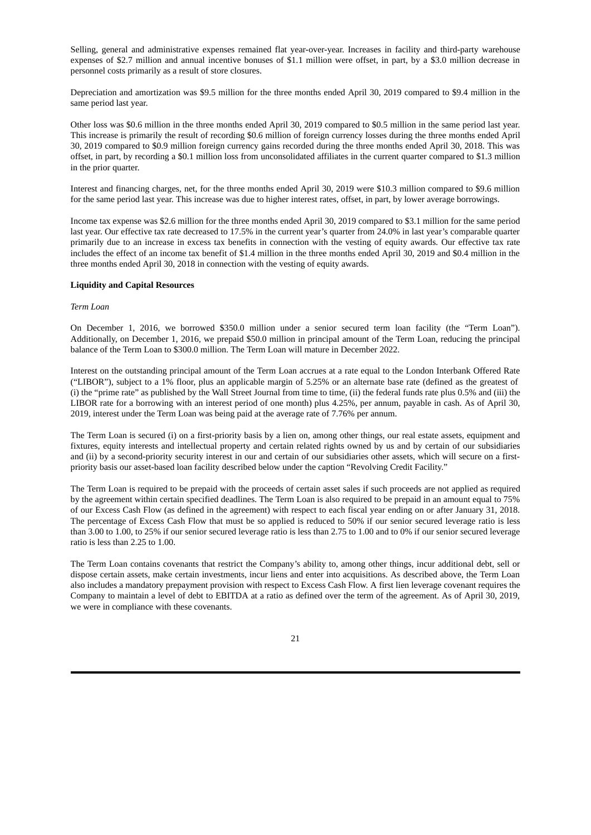Selling, general and administrative expenses remained flat year-over-year. Increases in facility and third-party warehouse expenses of \$2.7 million and annual incentive bonuses of \$1.1 million were offset, in part, by a \$3.0 million decrease in personnel costs primarily as a result of store closures.

Depreciation and amortization was \$9.5 million for the three months ended April 30, 2019 compared to \$9.4 million in the same period last year.

Other loss was \$0.6 million in the three months ended April 30, 2019 compared to \$0.5 million in the same period last year. This increase is primarily the result of recording \$0.6 million of foreign currency losses during the three months ended April 30, 2019 compared to \$0.9 million foreign currency gains recorded during the three months ended April 30, 2018. This was offset, in part, by recording a \$0.1 million loss from unconsolidated affiliates in the current quarter compared to \$1.3 million in the prior quarter.

Interest and financing charges, net, for the three months ended April 30, 2019 were \$10.3 million compared to \$9.6 million for the same period last year. This increase was due to higher interest rates, offset, in part, by lower average borrowings.

Income tax expense was \$2.6 million for the three months ended April 30, 2019 compared to \$3.1 million for the same period last year. Our effective tax rate decreased to 17.5% in the current year's quarter from 24.0% in last year's comparable quarter primarily due to an increase in excess tax benefits in connection with the vesting of equity awards. Our effective tax rate includes the effect of an income tax benefit of \$1.4 million in the three months ended April 30, 2019 and \$0.4 million in the three months ended April 30, 2018 in connection with the vesting of equity awards.

#### **Liquidity and Capital Resources**

#### *Term Loan*

On December 1, 2016, we borrowed \$350.0 million under a senior secured term loan facility (the "Term Loan"). Additionally, on December 1, 2016, we prepaid \$50.0 million in principal amount of the Term Loan, reducing the principal balance of the Term Loan to \$300.0 million. The Term Loan will mature in December 2022.

Interest on the outstanding principal amount of the Term Loan accrues at a rate equal to the London Interbank Offered Rate ("LIBOR"), subject to a 1% floor, plus an applicable margin of 5.25% or an alternate base rate (defined as the greatest of (i) the "prime rate" as published by the Wall Street Journal from time to time, (ii) the federal funds rate plus 0.5% and (iii) the LIBOR rate for a borrowing with an interest period of one month) plus 4.25%, per annum, payable in cash. As of April 30, 2019, interest under the Term Loan was being paid at the average rate of 7.76% per annum.

The Term Loan is secured (i) on a first-priority basis by a lien on, among other things, our real estate assets, equipment and fixtures, equity interests and intellectual property and certain related rights owned by us and by certain of our subsidiaries and (ii) by a second-priority security interest in our and certain of our subsidiaries other assets, which will secure on a firstpriority basis our asset-based loan facility described below under the caption "Revolving Credit Facility."

The Term Loan is required to be prepaid with the proceeds of certain asset sales if such proceeds are not applied as required by the agreement within certain specified deadlines. The Term Loan is also required to be prepaid in an amount equal to 75% of our Excess Cash Flow (as defined in the agreement) with respect to each fiscal year ending on or after January 31, 2018. The percentage of Excess Cash Flow that must be so applied is reduced to 50% if our senior secured leverage ratio is less than 3.00 to 1.00, to 25% if our senior secured leverage ratio is less than 2.75 to 1.00 and to 0% if our senior secured leverage ratio is less than 2.25 to 1.00.

The Term Loan contains covenants that restrict the Company's ability to, among other things, incur additional debt, sell or dispose certain assets, make certain investments, incur liens and enter into acquisitions. As described above, the Term Loan also includes a mandatory prepayment provision with respect to Excess Cash Flow. A first lien leverage covenant requires the Company to maintain a level of debt to EBITDA at a ratio as defined over the term of the agreement. As of April 30, 2019, we were in compliance with these covenants.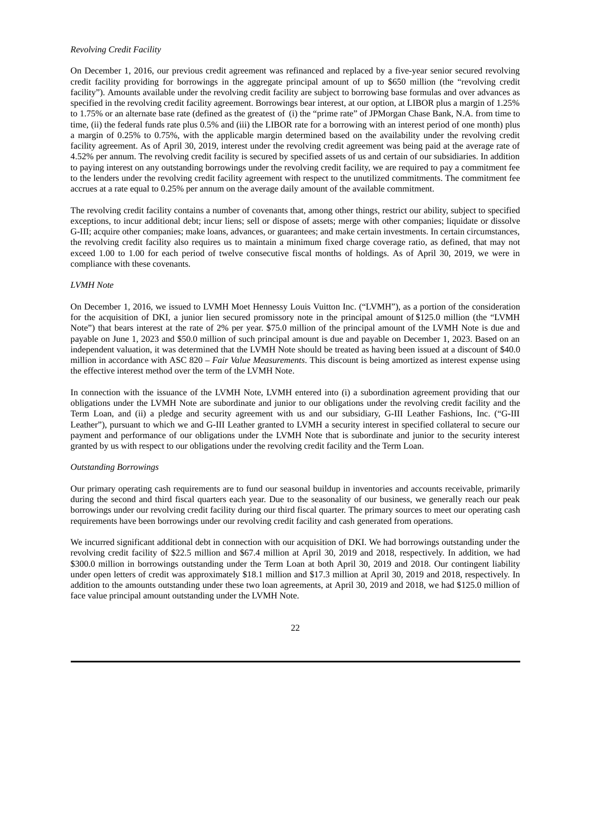#### *Revolving Credit Facility*

On December 1, 2016, our previous credit agreement was refinanced and replaced by a five-year senior secured revolving credit facility providing for borrowings in the aggregate principal amount of up to \$650 million (the "revolving credit facility"). Amounts available under the revolving credit facility are subject to borrowing base formulas and over advances as specified in the revolving credit facility agreement. Borrowings bear interest, at our option, at LIBOR plus a margin of 1.25% to 1.75% or an alternate base rate (defined as the greatest of (i) the "prime rate" of JPMorgan Chase Bank, N.A. from time to time, (ii) the federal funds rate plus 0.5% and (iii) the LIBOR rate for a borrowing with an interest period of one month) plus a margin of 0.25% to 0.75%, with the applicable margin determined based on the availability under the revolving credit facility agreement. As of April 30, 2019, interest under the revolving credit agreement was being paid at the average rate of 4.52% per annum. The revolving credit facility is secured by specified assets of us and certain of our subsidiaries. In addition to paying interest on any outstanding borrowings under the revolving credit facility, we are required to pay a commitment fee to the lenders under the revolving credit facility agreement with respect to the unutilized commitments. The commitment fee accrues at a rate equal to 0.25% per annum on the average daily amount of the available commitment.

The revolving credit facility contains a number of covenants that, among other things, restrict our ability, subject to specified exceptions, to incur additional debt; incur liens; sell or dispose of assets; merge with other companies; liquidate or dissolve G-III; acquire other companies; make loans, advances, or guarantees; and make certain investments. In certain circumstances, the revolving credit facility also requires us to maintain a minimum fixed charge coverage ratio, as defined, that may not exceed 1.00 to 1.00 for each period of twelve consecutive fiscal months of holdings. As of April 30, 2019, we were in compliance with these covenants.

#### *LVMH Note*

On December 1, 2016, we issued to LVMH Moet Hennessy Louis Vuitton Inc. ("LVMH"), as a portion of the consideration for the acquisition of DKI, a junior lien secured promissory note in the principal amount of \$125.0 million (the "LVMH Note") that bears interest at the rate of 2% per year. \$75.0 million of the principal amount of the LVMH Note is due and payable on June 1, 2023 and \$50.0 million of such principal amount is due and payable on December 1, 2023. Based on an independent valuation, it was determined that the LVMH Note should be treated as having been issued at a discount of \$40.0 million in accordance with ASC 820 – *Fair Value Measurements*. This discount is being amortized as interest expense using the effective interest method over the term of the LVMH Note.

In connection with the issuance of the LVMH Note, LVMH entered into (i) a subordination agreement providing that our obligations under the LVMH Note are subordinate and junior to our obligations under the revolving credit facility and the Term Loan, and (ii) a pledge and security agreement with us and our subsidiary, G-III Leather Fashions, Inc. ("G-III Leather"), pursuant to which we and G-III Leather granted to LVMH a security interest in specified collateral to secure our payment and performance of our obligations under the LVMH Note that is subordinate and junior to the security interest granted by us with respect to our obligations under the revolving credit facility and the Term Loan.

#### *Outstanding Borrowings*

Our primary operating cash requirements are to fund our seasonal buildup in inventories and accounts receivable, primarily during the second and third fiscal quarters each year. Due to the seasonality of our business, we generally reach our peak borrowings under our revolving credit facility during our third fiscal quarter. The primary sources to meet our operating cash requirements have been borrowings under our revolving credit facility and cash generated from operations.

We incurred significant additional debt in connection with our acquisition of DKI. We had borrowings outstanding under the revolving credit facility of \$22.5 million and \$67.4 million at April 30, 2019 and 2018, respectively. In addition, we had \$300.0 million in borrowings outstanding under the Term Loan at both April 30, 2019 and 2018. Our contingent liability under open letters of credit was approximately \$18.1 million and \$17.3 million at April 30, 2019 and 2018, respectively. In addition to the amounts outstanding under these two loan agreements, at April 30, 2019 and 2018, we had \$125.0 million of face value principal amount outstanding under the LVMH Note.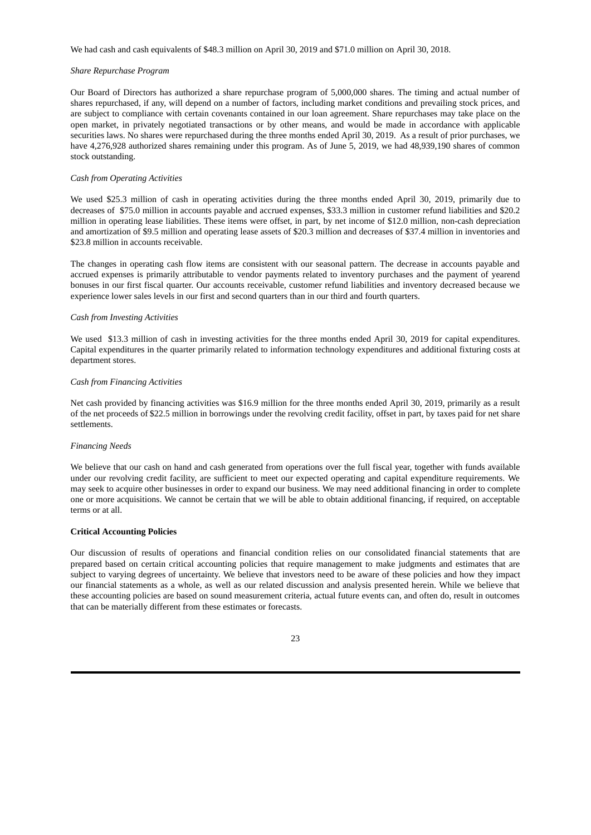We had cash and cash equivalents of \$48.3 million on April 30, 2019 and \$71.0 million on April 30, 2018.

#### *Share Repurchase Program*

Our Board of Directors has authorized a share repurchase program of 5,000,000 shares. The timing and actual number of shares repurchased, if any, will depend on a number of factors, including market conditions and prevailing stock prices, and are subject to compliance with certain covenants contained in our loan agreement. Share repurchases may take place on the open market, in privately negotiated transactions or by other means, and would be made in accordance with applicable securities laws. No shares were repurchased during the three months ended April 30, 2019. As a result of prior purchases, we have 4,276,928 authorized shares remaining under this program. As of June 5, 2019, we had 48,939,190 shares of common stock outstanding.

#### *Cash from Operating Activities*

We used \$25.3 million of cash in operating activities during the three months ended April 30, 2019, primarily due to decreases of \$75.0 million in accounts payable and accrued expenses, \$33.3 million in customer refund liabilities and \$20.2 million in operating lease liabilities. These items were offset, in part, by net income of \$12.0 million, non-cash depreciation and amortization of \$9.5 million and operating lease assets of \$20.3 million and decreases of \$37.4 million in inventories and \$23.8 million in accounts receivable.

The changes in operating cash flow items are consistent with our seasonal pattern. The decrease in accounts payable and accrued expenses is primarily attributable to vendor payments related to inventory purchases and the payment of yearend bonuses in our first fiscal quarter. Our accounts receivable, customer refund liabilities and inventory decreased because we experience lower sales levels in our first and second quarters than in our third and fourth quarters.

#### *Cash from Investing Activities*

We used \$13.3 million of cash in investing activities for the three months ended April 30, 2019 for capital expenditures. Capital expenditures in the quarter primarily related to information technology expenditures and additional fixturing costs at department stores.

#### *Cash from Financing Activities*

Net cash provided by financing activities was \$16.9 million for the three months ended April 30, 2019, primarily as a result of the net proceeds of \$22.5 million in borrowings under the revolving credit facility, offset in part, by taxes paid for net share settlements.

#### *Financing Needs*

We believe that our cash on hand and cash generated from operations over the full fiscal year, together with funds available under our revolving credit facility, are sufficient to meet our expected operating and capital expenditure requirements. We may seek to acquire other businesses in order to expand our business. We may need additional financing in order to complete one or more acquisitions. We cannot be certain that we will be able to obtain additional financing, if required, on acceptable terms or at all.

#### **Critical Accounting Policies**

Our discussion of results of operations and financial condition relies on our consolidated financial statements that are prepared based on certain critical accounting policies that require management to make judgments and estimates that are subject to varying degrees of uncertainty. We believe that investors need to be aware of these policies and how they impact our financial statements as a whole, as well as our related discussion and analysis presented herein. While we believe that these accounting policies are based on sound measurement criteria, actual future events can, and often do, result in outcomes that can be materially different from these estimates or forecasts.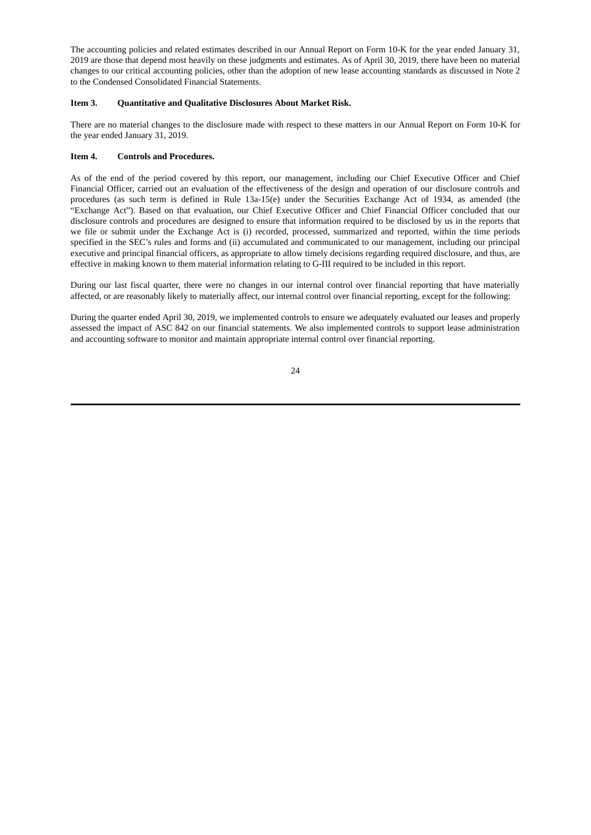The accounting policies and related estimates described in our Annual Report on Form 10‑K for the year ended January 31, 2019 are those that depend most heavily on these judgments and estimates. As of April 30, 2019, there have been no material changes to our critical accounting policies, other than the adoption of new lease accounting standards as discussed in Note 2 to the Condensed Consolidated Financial Statements.

### <span id="page-23-0"></span>**Item 3. Quantitative and Qualitative Disclosures About Market Risk.**

There are no material changes to the disclosure made with respect to these matters in our Annual Report on Form 10-K for the year ended January 31, 2019.

# <span id="page-23-1"></span>**Item 4. Controls and Procedures.**

As of the end of the period covered by this report, our management, including our Chief Executive Officer and Chief Financial Officer, carried out an evaluation of the effectiveness of the design and operation of our disclosure controls and procedures (as such term is defined in Rule 13a-15(e) under the Securities Exchange Act of 1934, as amended (the "Exchange Act"). Based on that evaluation, our Chief Executive Officer and Chief Financial Officer concluded that our disclosure controls and procedures are designed to ensure that information required to be disclosed by us in the reports that we file or submit under the Exchange Act is (i) recorded, processed, summarized and reported, within the time periods specified in the SEC's rules and forms and (ii) accumulated and communicated to our management, including our principal executive and principal financial officers, as appropriate to allow timely decisions regarding required disclosure, and thus, are effective in making known to them material information relating to G-III required to be included in this report.

During our last fiscal quarter, there were no changes in our internal control over financial reporting that have materially affected, or are reasonably likely to materially affect, our internal control over financial reporting, except for the following:

During the quarter ended April 30, 2019, we implemented controls to ensure we adequately evaluated our leases and properly assessed the impact of ASC 842 on our financial statements. We also implemented controls to support lease administration and accounting software to monitor and maintain appropriate internal control over financial reporting.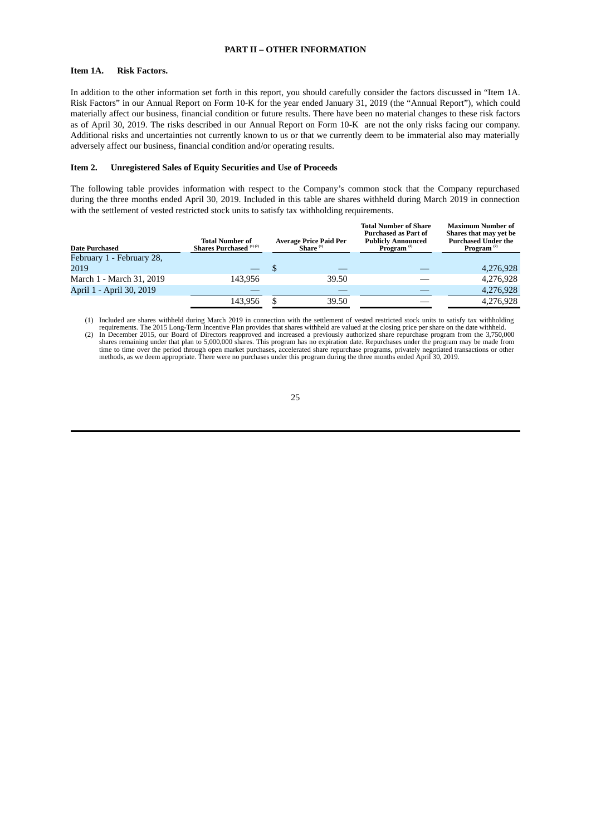#### <span id="page-24-2"></span><span id="page-24-1"></span><span id="page-24-0"></span>**PART II – OTHER INFORMATION**

### **Item 1A. Risk Factors.**

In addition to the other information set forth in this report, you should carefully consider the factors discussed in "Item 1A. Risk Factors" in our Annual Report on Form 10‑K for the year ended January 31, 2019 (the "Annual Report"), which could materially affect our business, financial condition or future results. There have been no material changes to these risk factors as of April 30, 2019. The risks described in our Annual Report on Form 10‑K are not the only risks facing our company. Additional risks and uncertainties not currently known to us or that we currently deem to be immaterial also may materially adversely affect our business, financial condition and/or operating results.

#### **Item 2. Unregistered Sales of Equity Securities and Use of Proceeds**

The following table provides information with respect to the Company's common stock that the Company repurchased during the three months ended April 30, 2019. Included in this table are shares withheld during March 2019 in connection with the settlement of vested restricted stock units to satisfy tax withholding requirements.

| <b>Date Purchased</b>     | <b>Total Number of</b><br>Shares Purchased <sup>(1)(2)</sup> | <b>Average Price Paid Per</b><br>Share <sup>(1)</sup> | <b>Total Number of Share</b><br><b>Purchased as Part of</b><br><b>Publicly Announced</b><br>Program $^{(2)}$ | <b>Maximum Number of</b><br>Shares that may yet be<br><b>Purchased Under the</b><br>Program $^{(2)}$ |
|---------------------------|--------------------------------------------------------------|-------------------------------------------------------|--------------------------------------------------------------------------------------------------------------|------------------------------------------------------------------------------------------------------|
| February 1 - February 28, |                                                              |                                                       |                                                                                                              |                                                                                                      |
| 2019                      |                                                              |                                                       |                                                                                                              | 4,276,928                                                                                            |
| March 1 - March 31, 2019  | 143.956                                                      | 39.50                                                 |                                                                                                              | 4,276,928                                                                                            |
| April 1 - April 30, 2019  |                                                              |                                                       |                                                                                                              | 4,276,928                                                                                            |
|                           | 143.956                                                      | 39.50                                                 |                                                                                                              | 4,276,928                                                                                            |

(1) Included are shares withheld during March 2019 in connection with the settlement of vested restricted stock units to satisfy tax withholding requirements. The 2015 Long-Term Incentive Plan provides that shares withheld shares remaining under that plan to 5,000,000 shares. This program has no expiration date. Repurchases under the program may be made from time to time over the period through open market purchases, accelerated share repurchase programs, privately negotiated transactions or other<br>methods, as we deem appropriate. There were no purchases under this program duri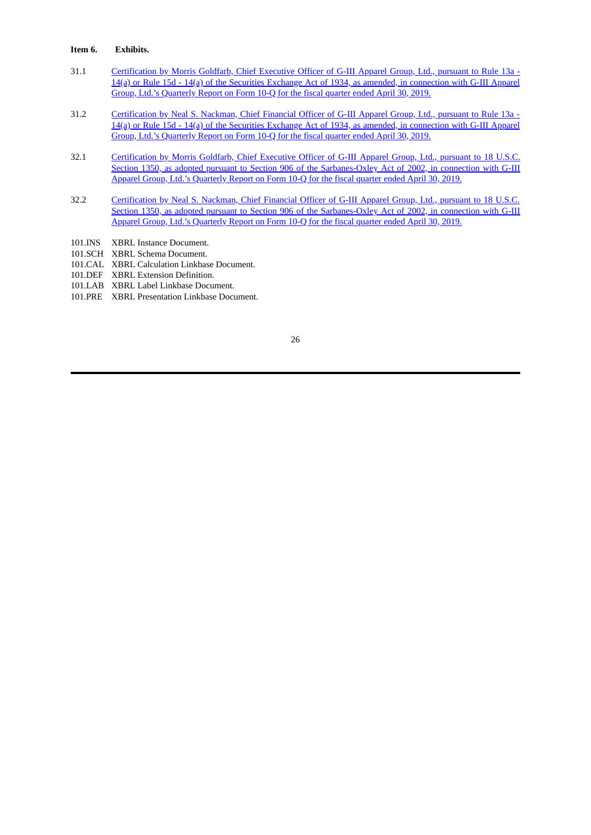# <span id="page-25-0"></span>**Item 6. Exhibits.**

- 31.1 [Certification](#page-27-0) by Morris Goldfarb, Chief Executive Officer of G-III Apparel Group, Ltd., pursuant to Rule 13a 14(a) or Rule 15d - 14(a) of the Securities Exchange Act of 1934, as amended, in connection with G-III Apparel Group, Ltd.'s Quarterly Report on Form 10‑Q for the fiscal quarter ended April 30, 2019.
- 31.2 [Certification](#page-28-0) by Neal S. Nackman, Chief Financial Officer of G-III Apparel Group, Ltd., pursuant to Rule 13a 14(a) or Rule 15d - 14(a) of the Securities Exchange Act of 1934, as amended, in connection with G-III Apparel Group, Ltd.'s Quarterly Report on Form 10‑Q for the fiscal quarter ended April 30, 2019.
- 32.1 Certification by Morris Goldfarb, Chief Executive Officer of G-III Apparel Group, Ltd., pursuant to 18 U.S.C. Section 1350, as adopted pursuant to Section 906 of the [Sarbanes-Oxley](#page-29-0) Act of 2002, in connection with G-III Apparel Group, Ltd.'s Quarterly Report on Form 10‑Q for the fiscal quarter ended April 30, 2019.
- 32.2 Certification by Neal S. Nackman, Chief Financial Officer of G-III Apparel Group, Ltd., pursuant to 18 U.S.C. Section 1350, as adopted pursuant to Section 906 of the [Sarbanes-Oxley](#page-30-0) Act of 2002, in connection with G-III Apparel Group, Ltd.'s Quarterly Report on Form 10‑Q for the fiscal quarter ended April 30, 2019.
- 101.INS XBRL Instance Document.
- 101.SCH XBRL Schema Document.
- 101.CAL XBRL Calculation Linkbase Document.
- 101.DEF XBRL Extension Definition.
- 101.LAB XBRL Label Linkbase Document.
- 101.PRE XBRL Presentation Linkbase Document.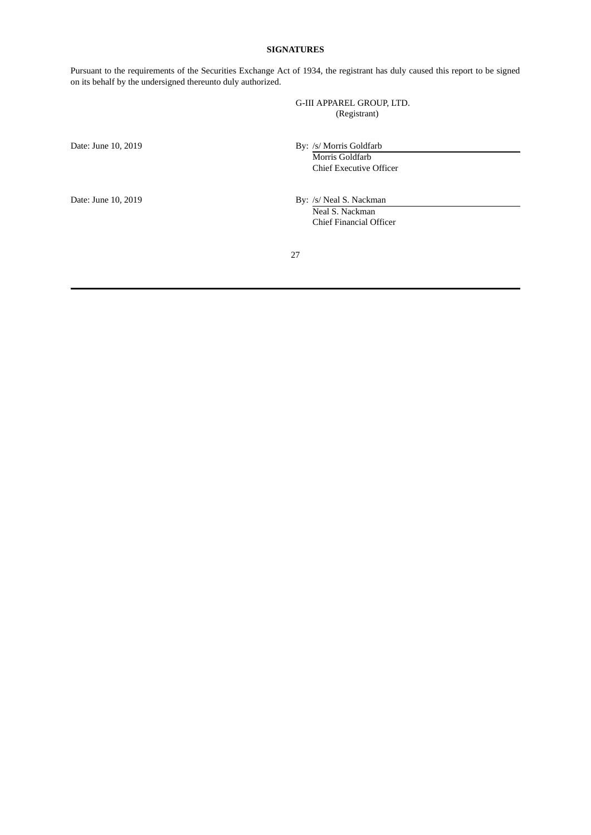# **SIGNATURES**

Pursuant to the requirements of the Securities Exchange Act of 1934, the registrant has duly caused this report to be signed on its behalf by the undersigned thereunto duly authorized.

> G-III APPAREL GROUP, LTD. (Registrant)

Date: June 10, 2019 By: /s/ Morris Goldfarb

Morris Goldfarb Chief Executive Officer

Date: June 10, 2019 By: /s/ Neal S. Nackman

Neal S. Nackman Chief Financial Officer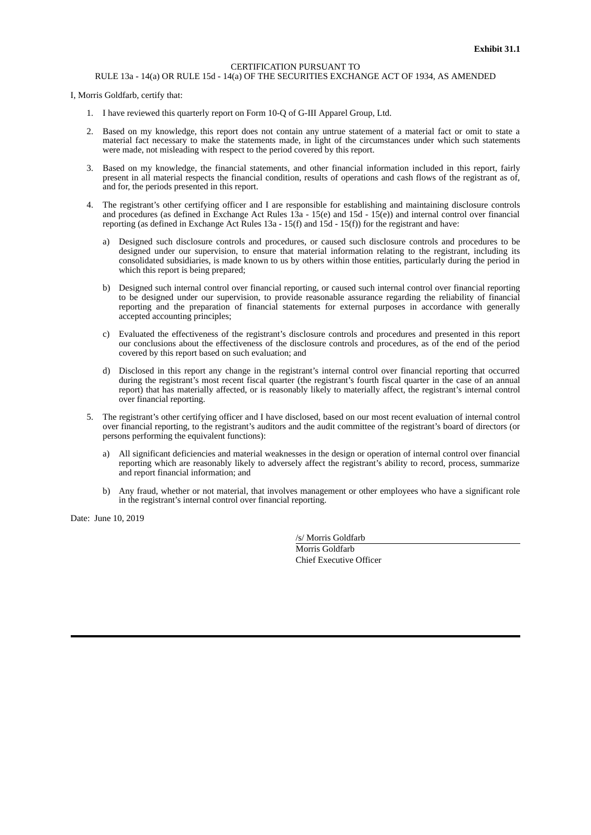#### CERTIFICATION PURSUANT TO

#### RULE 13a - 14(a) OR RULE 15d - 14(a) OF THE SECURITIES EXCHANGE ACT OF 1934, AS AMENDED

<span id="page-27-0"></span>I, Morris Goldfarb, certify that:

- 1. I have reviewed this quarterly report on Form 10-Q of G-III Apparel Group, Ltd.
- 2. Based on my knowledge, this report does not contain any untrue statement of a material fact or omit to state a material fact necessary to make the statements made, in light of the circumstances under which such statements were made, not misleading with respect to the period covered by this report.
- 3. Based on my knowledge, the financial statements, and other financial information included in this report, fairly present in all material respects the financial condition, results of operations and cash flows of the registrant as of, and for, the periods presented in this report.
- 4. The registrant's other certifying officer and I are responsible for establishing and maintaining disclosure controls and procedures (as defined in Exchange Act Rules 13a - 15(e) and 15d - 15(e)) and internal control over financial reporting (as defined in Exchange Act Rules 13a - 15(f) and 15d - 15(f)) for the registrant and have:
	- Designed such disclosure controls and procedures, or caused such disclosure controls and procedures to be designed under our supervision, to ensure that material information relating to the registrant, including its consolidated subsidiaries, is made known to us by others within those entities, particularly during the period in which this report is being prepared;
	- b) Designed such internal control over financial reporting, or caused such internal control over financial reporting to be designed under our supervision, to provide reasonable assurance regarding the reliability of financial reporting and the preparation of financial statements for external purposes in accordance with generally accepted accounting principles;
	- c) Evaluated the effectiveness of the registrant's disclosure controls and procedures and presented in this report our conclusions about the effectiveness of the disclosure controls and procedures, as of the end of the period covered by this report based on such evaluation; and
	- d) Disclosed in this report any change in the registrant's internal control over financial reporting that occurred during the registrant's most recent fiscal quarter (the registrant's fourth fiscal quarter in the case of an annual report) that has materially affected, or is reasonably likely to materially affect, the registrant's internal control over financial reporting.
- 5. The registrant's other certifying officer and I have disclosed, based on our most recent evaluation of internal control over financial reporting, to the registrant's auditors and the audit committee of the registrant's board of directors (or persons performing the equivalent functions):
	- a) All significant deficiencies and material weaknesses in the design or operation of internal control over financial reporting which are reasonably likely to adversely affect the registrant's ability to record, process, summarize and report financial information; and
	- b) Any fraud, whether or not material, that involves management or other employees who have a significant role in the registrant's internal control over financial reporting.

Date: June 10, 2019

/s/ Morris Goldfarb

Morris Goldfarb Chief Executive Officer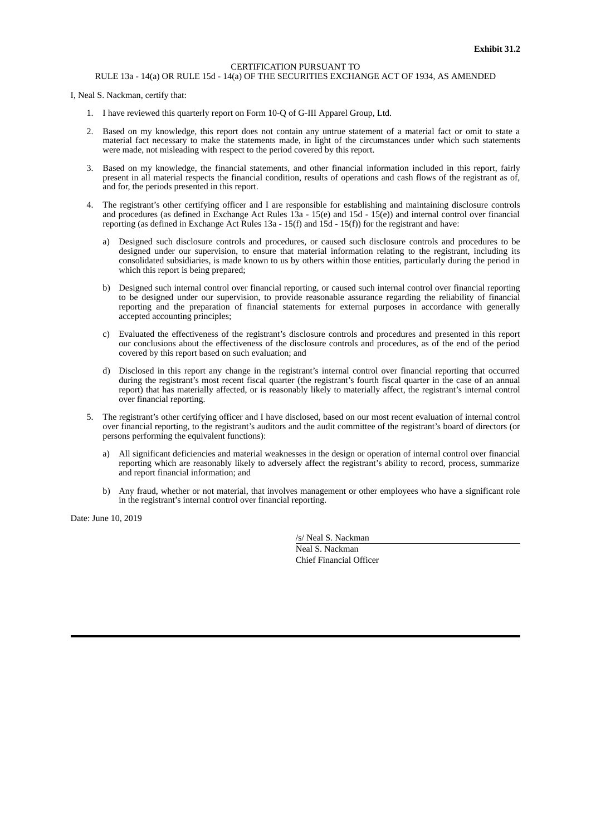#### CERTIFICATION PURSUANT TO

#### RULE 13a - 14(a) OR RULE 15d - 14(a) OF THE SECURITIES EXCHANGE ACT OF 1934, AS AMENDED

<span id="page-28-0"></span>I, Neal S. Nackman, certify that:

- 1. I have reviewed this quarterly report on Form 10-Q of G-III Apparel Group, Ltd.
- 2. Based on my knowledge, this report does not contain any untrue statement of a material fact or omit to state a material fact necessary to make the statements made, in light of the circumstances under which such statements were made, not misleading with respect to the period covered by this report.
- 3. Based on my knowledge, the financial statements, and other financial information included in this report, fairly present in all material respects the financial condition, results of operations and cash flows of the registrant as of, and for, the periods presented in this report.
- 4. The registrant's other certifying officer and I are responsible for establishing and maintaining disclosure controls and procedures (as defined in Exchange Act Rules 13a - 15(e) and 15d - 15(e)) and internal control over financial reporting (as defined in Exchange Act Rules 13a - 15(f) and 15d - 15(f)) for the registrant and have:
	- Designed such disclosure controls and procedures, or caused such disclosure controls and procedures to be designed under our supervision, to ensure that material information relating to the registrant, including its consolidated subsidiaries, is made known to us by others within those entities, particularly during the period in which this report is being prepared;
	- b) Designed such internal control over financial reporting, or caused such internal control over financial reporting to be designed under our supervision, to provide reasonable assurance regarding the reliability of financial reporting and the preparation of financial statements for external purposes in accordance with generally accepted accounting principles;
	- c) Evaluated the effectiveness of the registrant's disclosure controls and procedures and presented in this report our conclusions about the effectiveness of the disclosure controls and procedures, as of the end of the period covered by this report based on such evaluation; and
	- d) Disclosed in this report any change in the registrant's internal control over financial reporting that occurred during the registrant's most recent fiscal quarter (the registrant's fourth fiscal quarter in the case of an annual report) that has materially affected, or is reasonably likely to materially affect, the registrant's internal control over financial reporting.
- 5. The registrant's other certifying officer and I have disclosed, based on our most recent evaluation of internal control over financial reporting, to the registrant's auditors and the audit committee of the registrant's board of directors (or persons performing the equivalent functions):
	- a) All significant deficiencies and material weaknesses in the design or operation of internal control over financial reporting which are reasonably likely to adversely affect the registrant's ability to record, process, summarize and report financial information; and
	- b) Any fraud, whether or not material, that involves management or other employees who have a significant role in the registrant's internal control over financial reporting.

Date: June 10, 2019

/s/ Neal S. Nackman

Neal S. Nackman Chief Financial Officer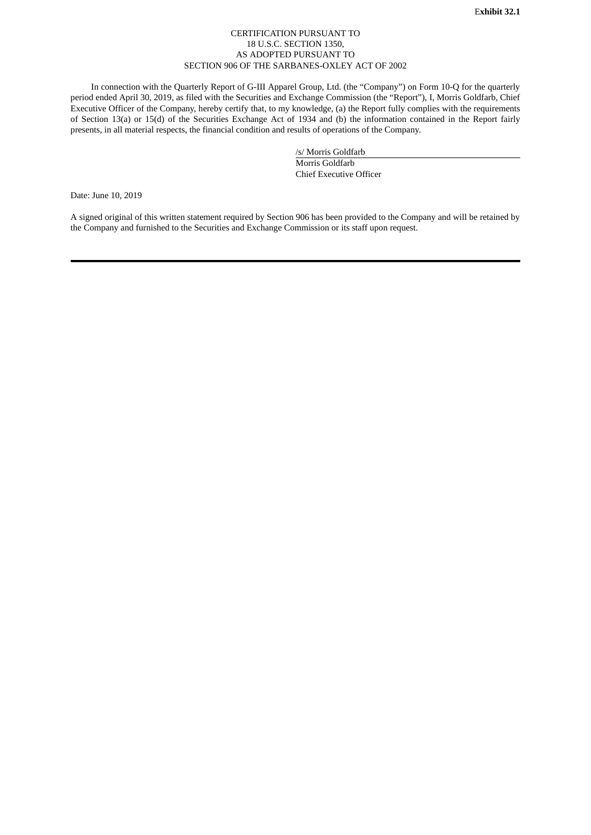### CERTIFICATION PURSUANT TO 18 U.S.C. SECTION 1350, AS ADOPTED PURSUANT TO SECTION 906 OF THE SARBANES-OXLEY ACT OF 2002

<span id="page-29-0"></span>In connection with the Quarterly Report of G-III Apparel Group, Ltd. (the "Company") on Form 10-Q for the quarterly period ended April 30, 2019, as filed with the Securities and Exchange Commission (the "Report"), I, Morris Goldfarb, Chief Executive Officer of the Company, hereby certify that, to my knowledge, (a) the Report fully complies with the requirements of Section 13(a) or 15(d) of the Securities Exchange Act of 1934 and (b) the information contained in the Report fairly presents, in all material respects, the financial condition and results of operations of the Company.

/s/ Morris Goldfarb

Morris Goldfarb Chief Executive Officer

Date: June 10, 2019

A signed original of this written statement required by Section 906 has been provided to the Company and will be retained by the Company and furnished to the Securities and Exchange Commission or its staff upon request.